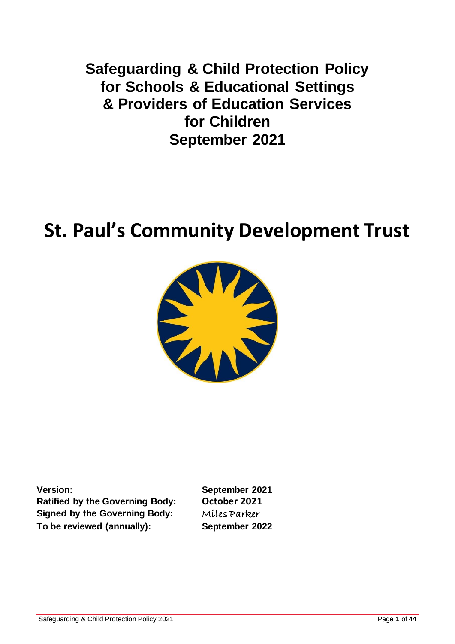**Safeguarding & Child Protection Policy for Schools & Educational Settings & Providers of Education Services for Children September 2021**

# **St. Paul's Community Development Trust**



**Version: September 2021 Ratified by the Governing Body: October 2021 Signed by the Governing Body:** Miles Parker **To be reviewed (annually): September 2022**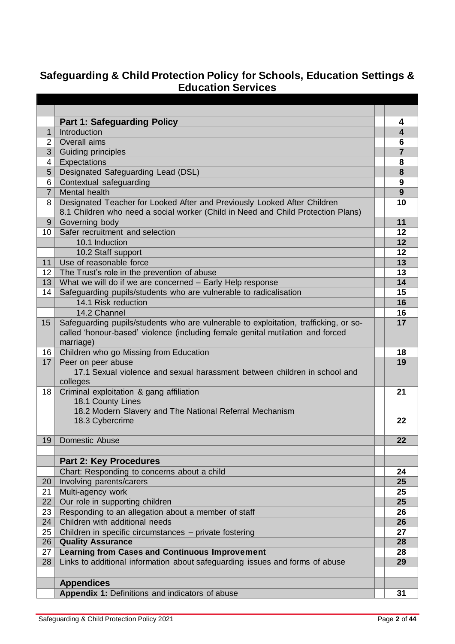# **Safeguarding & Child Protection Policy for Schools, Education Settings & Education Services**

|                                | <b>Part 1: Safeguarding Policy</b>                                                   | 4               |
|--------------------------------|--------------------------------------------------------------------------------------|-----------------|
| $\mathbf{1}$<br>$\overline{2}$ | Introduction<br><b>Overall aims</b>                                                  | 4<br>6          |
| 3                              | Guiding principles                                                                   | $\overline{7}$  |
| 4                              | Expectations                                                                         | 8               |
| 5                              | Designated Safeguarding Lead (DSL)                                                   | 8               |
| 6                              | Contextual safeguarding                                                              | 9               |
| $\overline{7}$                 | <b>Mental health</b>                                                                 | 9               |
| 8                              | Designated Teacher for Looked After and Previously Looked After Children             | 10              |
|                                | 8.1 Children who need a social worker (Child in Need and Child Protection Plans)     |                 |
| 9                              | Governing body                                                                       | 11              |
| 10 <sup>°</sup>                | Safer recruitment and selection                                                      | 12              |
|                                | 10.1 Induction                                                                       | 12              |
|                                | 10.2 Staff support                                                                   | 12              |
| 11                             | Use of reasonable force                                                              | 13              |
| 12                             | The Trust's role in the prevention of abuse                                          | 13              |
| 13                             | What we will do if we are concerned - Early Help response                            | 14              |
| 14                             | Safeguarding pupils/students who are vulnerable to radicalisation                    | 15              |
|                                | 14.1 Risk reduction                                                                  | 16              |
|                                | 14.2 Channel                                                                         | 16              |
| 15                             | Safeguarding pupils/students who are vulnerable to exploitation, trafficking, or so- | 17              |
|                                | called 'honour-based' violence (including female genital mutilation and forced       |                 |
|                                | marriage)                                                                            |                 |
| 16                             | Children who go Missing from Education                                               | 18              |
| 17                             | Peer on peer abuse                                                                   | 19              |
|                                | 17.1 Sexual violence and sexual harassment between children in school and            |                 |
| 18                             | colleges<br>Criminal exploitation & gang affiliation                                 | 21              |
|                                | 18.1 County Lines                                                                    |                 |
|                                | 18.2 Modern Slavery and The National Referral Mechanism                              |                 |
|                                | 18.3 Cybercrime                                                                      | 22              |
|                                |                                                                                      |                 |
|                                | 19   Domestic Abuse                                                                  | $\overline{22}$ |
|                                |                                                                                      |                 |
|                                | <b>Part 2: Key Procedures</b>                                                        |                 |
|                                | Chart: Responding to concerns about a child                                          | 24              |
| 20                             | Involving parents/carers                                                             | 25              |
| 21                             | Multi-agency work                                                                    | 25              |
| 22                             | Our role in supporting children                                                      | 25              |
| 23                             | Responding to an allegation about a member of staff                                  | 26              |
| 24                             | Children with additional needs                                                       | 26              |
| 25                             | Children in specific circumstances - private fostering                               | 27              |
| 26                             | <b>Quality Assurance</b>                                                             | 28              |
| 27                             | <b>Learning from Cases and Continuous Improvement</b>                                | 28              |
| 28                             | Links to additional information about safeguarding issues and forms of abuse         | 29              |
|                                |                                                                                      |                 |
|                                | <b>Appendices</b>                                                                    |                 |
|                                | Appendix 1: Definitions and indicators of abuse                                      | 31              |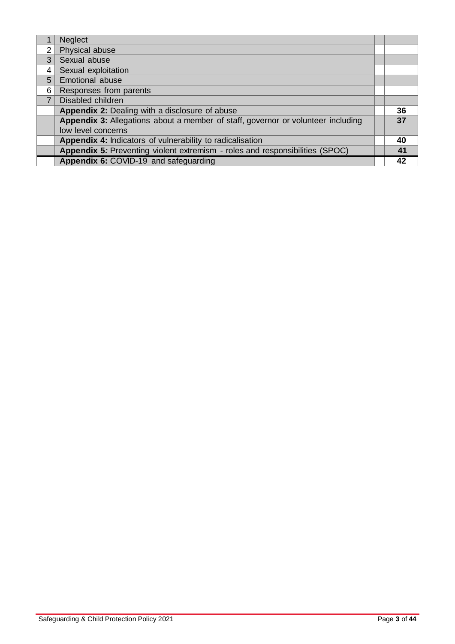|   | <b>Neglect</b>                                                                   |    |
|---|----------------------------------------------------------------------------------|----|
| 2 | Physical abuse                                                                   |    |
| 3 | Sexual abuse                                                                     |    |
| 4 | Sexual exploitation                                                              |    |
| 5 | <b>Emotional abuse</b>                                                           |    |
| 6 | Responses from parents                                                           |    |
| 7 | Disabled children                                                                |    |
|   | Appendix 2: Dealing with a disclosure of abuse                                   | 36 |
|   | Appendix 3: Allegations about a member of staff, governor or volunteer including | 37 |
|   | low level concerns                                                               |    |
|   | Appendix 4: Indicators of vulnerability to radicalisation                        | 40 |
|   | Appendix 5: Preventing violent extremism - roles and responsibilities (SPOC)     | 41 |
|   | Appendix 6: COVID-19 and safeguarding                                            | 42 |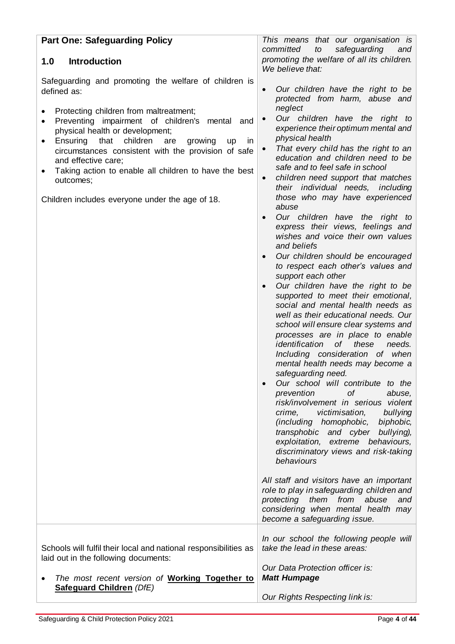| <b>Part One: Safeguarding Policy</b>                                                                                                                                                                                                                                                                                                                                                                                                                                                                      | This means that our organisation is                                                                                                                                                                                                                                                                                                                                                                                                                                                                                                                                                                                                                                                                                                                                                                                                                                                                                                                                                                                                                                                                                                                                                                                                                                                                                                                                                                                                                                                                                                                                                                                         |  |  |
|-----------------------------------------------------------------------------------------------------------------------------------------------------------------------------------------------------------------------------------------------------------------------------------------------------------------------------------------------------------------------------------------------------------------------------------------------------------------------------------------------------------|-----------------------------------------------------------------------------------------------------------------------------------------------------------------------------------------------------------------------------------------------------------------------------------------------------------------------------------------------------------------------------------------------------------------------------------------------------------------------------------------------------------------------------------------------------------------------------------------------------------------------------------------------------------------------------------------------------------------------------------------------------------------------------------------------------------------------------------------------------------------------------------------------------------------------------------------------------------------------------------------------------------------------------------------------------------------------------------------------------------------------------------------------------------------------------------------------------------------------------------------------------------------------------------------------------------------------------------------------------------------------------------------------------------------------------------------------------------------------------------------------------------------------------------------------------------------------------------------------------------------------------|--|--|
| <b>Introduction</b><br>1.0                                                                                                                                                                                                                                                                                                                                                                                                                                                                                | committed<br>safeguarding<br>to<br>and<br>promoting the welfare of all its children.                                                                                                                                                                                                                                                                                                                                                                                                                                                                                                                                                                                                                                                                                                                                                                                                                                                                                                                                                                                                                                                                                                                                                                                                                                                                                                                                                                                                                                                                                                                                        |  |  |
|                                                                                                                                                                                                                                                                                                                                                                                                                                                                                                           | We believe that:                                                                                                                                                                                                                                                                                                                                                                                                                                                                                                                                                                                                                                                                                                                                                                                                                                                                                                                                                                                                                                                                                                                                                                                                                                                                                                                                                                                                                                                                                                                                                                                                            |  |  |
| Safeguarding and promoting the welfare of children is<br>defined as:<br>Protecting children from maltreatment;<br>٠<br>Preventing impairment of children's<br>mental and<br>physical health or development;<br>children<br>that<br>Ensuring<br>are<br>growing<br><b>up</b><br>in<br>$\bullet$<br>circumstances consistent with the provision of safe<br>and effective care;<br>Taking action to enable all children to have the best<br>٠<br>outcomes;<br>Children includes everyone under the age of 18. | Our children have the right to be<br>$\bullet$<br>protected from harm, abuse and<br>neglect<br>Our children have the right to<br>$\bullet$<br>experience their optimum mental and<br>physical health<br>That every child has the right to an<br>education and children need to be<br>safe and to feel safe in school<br>children need support that matches<br>$\bullet$<br>their individual needs, including<br>those who may have experienced<br>abuse<br>Our children have the right to<br>express their views, feelings and<br>wishes and voice their own values<br>and beliefs<br>Our children should be encouraged<br>$\bullet$<br>to respect each other's values and<br>support each other<br>Our children have the right to be<br>$\bullet$<br>supported to meet their emotional,<br>social and mental health needs as<br>well as their educational needs. Our<br>school will ensure clear systems and<br>processes are in place to enable<br>identification<br>of<br>these<br>needs.<br>Including consideration of when<br>mental health needs may become a<br>safeguarding need.<br>Our school will contribute to the<br>prevention<br>abuse,<br>оf<br>risk/involvement in serious violent<br>bullying<br>victimisation,<br>crime.<br>(including homophobic, biphobic,<br>transphobic and cyber bullying),<br>exploitation, extreme behaviours,<br>discriminatory views and risk-taking<br>behaviours<br>All staff and visitors have an important<br>role to play in safeguarding children and<br>from<br>abuse<br>protecting<br>them<br>and<br>considering when mental health may<br>become a safeguarding issue. |  |  |
|                                                                                                                                                                                                                                                                                                                                                                                                                                                                                                           |                                                                                                                                                                                                                                                                                                                                                                                                                                                                                                                                                                                                                                                                                                                                                                                                                                                                                                                                                                                                                                                                                                                                                                                                                                                                                                                                                                                                                                                                                                                                                                                                                             |  |  |
| Schools will fulfil their local and national responsibilities as<br>laid out in the following documents:                                                                                                                                                                                                                                                                                                                                                                                                  | In our school the following people will<br>take the lead in these areas:                                                                                                                                                                                                                                                                                                                                                                                                                                                                                                                                                                                                                                                                                                                                                                                                                                                                                                                                                                                                                                                                                                                                                                                                                                                                                                                                                                                                                                                                                                                                                    |  |  |
| The most recent version of Working Together to<br><b>Safeguard Children (DfE)</b>                                                                                                                                                                                                                                                                                                                                                                                                                         | Our Data Protection officer is:<br><b>Matt Humpage</b>                                                                                                                                                                                                                                                                                                                                                                                                                                                                                                                                                                                                                                                                                                                                                                                                                                                                                                                                                                                                                                                                                                                                                                                                                                                                                                                                                                                                                                                                                                                                                                      |  |  |
|                                                                                                                                                                                                                                                                                                                                                                                                                                                                                                           | Our Rights Respecting link is:                                                                                                                                                                                                                                                                                                                                                                                                                                                                                                                                                                                                                                                                                                                                                                                                                                                                                                                                                                                                                                                                                                                                                                                                                                                                                                                                                                                                                                                                                                                                                                                              |  |  |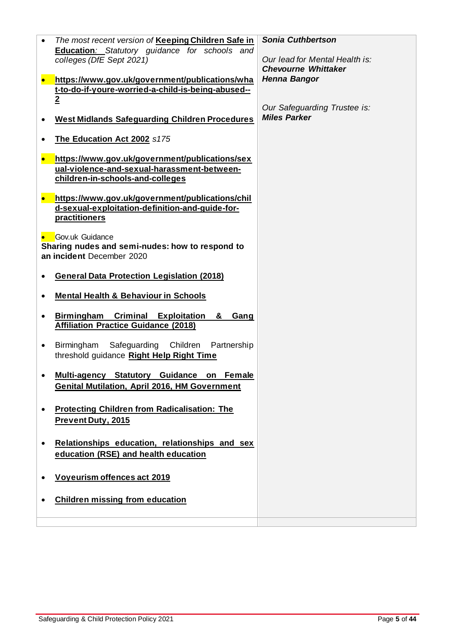|           | The most recent version of Keeping Children Safe in<br><b>Education</b> : Statutory guidance for schools and<br>colleges (DfE Sept 2021)<br>https://www.gov.uk/government/publications/wha<br>t-to-do-if-youre-worried-a-child-is-being-abused--<br>$\overline{2}$<br><b>West Midlands Safeguarding Children Procedures</b><br>The Education Act 2002 s175<br>https://www.gov.uk/government/publications/sex<br>ual-violence-and-sexual-harassment-between-<br>children-in-schools-and-colleges<br>https://www.gov.uk/government/publications/chil<br>d-sexual-exploitation-definition-and-guide-for-<br><b>practitioners</b><br>Gov.uk Guidance | <b>Sonia Cuthbertson</b><br>Our lead for Mental Health is:<br><b>Chevourne Whittaker</b><br><b>Henna Bangor</b><br>Our Safeguarding Trustee is:<br><b>Miles Parker</b> |
|-----------|--------------------------------------------------------------------------------------------------------------------------------------------------------------------------------------------------------------------------------------------------------------------------------------------------------------------------------------------------------------------------------------------------------------------------------------------------------------------------------------------------------------------------------------------------------------------------------------------------------------------------------------------------|------------------------------------------------------------------------------------------------------------------------------------------------------------------------|
|           | Sharing nudes and semi-nudes: how to respond to<br>an incident December 2020                                                                                                                                                                                                                                                                                                                                                                                                                                                                                                                                                                     |                                                                                                                                                                        |
|           | <b>General Data Protection Legislation (2018)</b>                                                                                                                                                                                                                                                                                                                                                                                                                                                                                                                                                                                                |                                                                                                                                                                        |
| $\bullet$ | <b>Mental Health &amp; Behaviour in Schools</b>                                                                                                                                                                                                                                                                                                                                                                                                                                                                                                                                                                                                  |                                                                                                                                                                        |
|           | Birmingham Criminal Exploitation & Gang<br>Affiliation Practice Guidance (2018)                                                                                                                                                                                                                                                                                                                                                                                                                                                                                                                                                                  |                                                                                                                                                                        |
| $\bullet$ | Safeguarding Children<br>Birmingham<br>Partnership<br>threshold guidance Right Help Right Time                                                                                                                                                                                                                                                                                                                                                                                                                                                                                                                                                   |                                                                                                                                                                        |
|           | Multi-agency Statutory Guidance on Female<br><b>Genital Mutilation, April 2016, HM Government</b>                                                                                                                                                                                                                                                                                                                                                                                                                                                                                                                                                |                                                                                                                                                                        |
| ٠         | <b>Protecting Children from Radicalisation: The</b><br><b>Prevent Duty, 2015</b>                                                                                                                                                                                                                                                                                                                                                                                                                                                                                                                                                                 |                                                                                                                                                                        |
| $\bullet$ | Relationships education, relationships and sex<br>education (RSE) and health education                                                                                                                                                                                                                                                                                                                                                                                                                                                                                                                                                           |                                                                                                                                                                        |
| ٠         | Voyeurism offences act 2019                                                                                                                                                                                                                                                                                                                                                                                                                                                                                                                                                                                                                      |                                                                                                                                                                        |
|           | <b>Children missing from education</b>                                                                                                                                                                                                                                                                                                                                                                                                                                                                                                                                                                                                           |                                                                                                                                                                        |
|           |                                                                                                                                                                                                                                                                                                                                                                                                                                                                                                                                                                                                                                                  |                                                                                                                                                                        |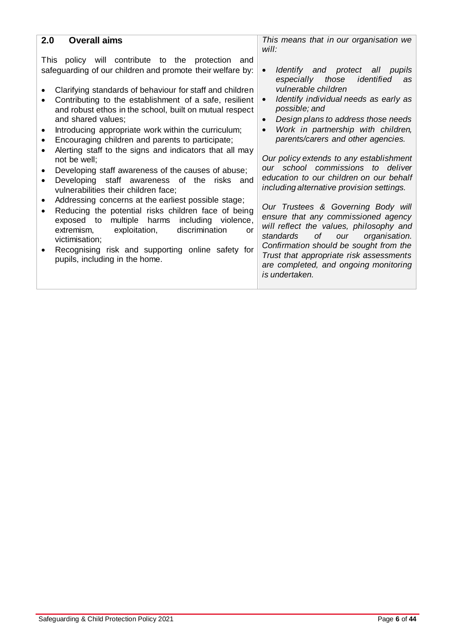| <b>Overall aims</b><br>2.0                                                                                                                                                                                                                                                                                                        | This means that in our organisation we<br>will:                                                                                                                                                                                                                                                 |
|-----------------------------------------------------------------------------------------------------------------------------------------------------------------------------------------------------------------------------------------------------------------------------------------------------------------------------------|-------------------------------------------------------------------------------------------------------------------------------------------------------------------------------------------------------------------------------------------------------------------------------------------------|
| This policy will contribute to the protection and<br>safeguarding of our children and promote their welfare by:<br>Clarifying standards of behaviour for staff and children<br>Contributing to the establishment of a safe, resilient<br>and robust ethos in the school, built on mutual respect<br>and shared values;            | Identify and protect all pupils<br>especially those<br>identified<br>as<br>vulnerable children<br>Identify individual needs as early as<br>possible; and<br>Design plans to address those needs                                                                                                 |
| Introducing appropriate work within the curriculum;<br>Encouraging children and parents to participate;<br>Alerting staff to the signs and indicators that all may<br>not be well;<br>Developing staff awareness of the causes of abuse;<br>Developing staff awareness of the risks and<br>vulnerabilities their children face;   | Work in partnership with children,<br>parents/carers and other agencies.<br>Our policy extends to any establishment<br>our school commissions to deliver<br>education to our children on our behalf<br>including alternative provision settings.                                                |
| Addressing concerns at the earliest possible stage;<br>Reducing the potential risks children face of being<br>multiple harms<br>including violence,<br>exposed to<br>discrimination<br>exploitation,<br>extremism,<br>or<br>victimisation;<br>Recognising risk and supporting online safety for<br>pupils, including in the home. | Our Trustees & Governing Body will<br>ensure that any commissioned agency<br>will reflect the values, philosophy and<br>of _<br>standards<br>organisation.<br>our<br>Confirmation should be sought from the<br>Trust that appropriate risk assessments<br>are completed, and ongoing monitoring |

*is undertaken.*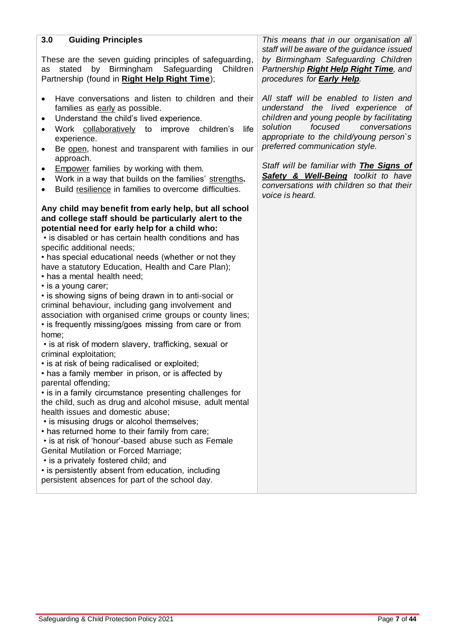| 3.0<br><b>Guiding Principles</b>                                                                             | This means that in our organisation all                                           |
|--------------------------------------------------------------------------------------------------------------|-----------------------------------------------------------------------------------|
| These are the seven guiding principles of safeguarding,                                                      | staff will be aware of the guidance issued<br>by Birmingham Safeguarding Children |
| stated by Birmingham Safeguarding<br>Children<br>as                                                          | Partnership Right Help Right Time, and                                            |
| Partnership (found in Right Help Right Time);                                                                | procedures for <b>Early Help</b> .                                                |
|                                                                                                              |                                                                                   |
| Have conversations and listen to children and their                                                          | All staff will be enabled to listen and                                           |
| families as early as possible.                                                                               | understand the lived experience of                                                |
| Understand the child's lived experience.<br>$\bullet$                                                        | children and young people by facilitating                                         |
| Work collaboratively to improve children's<br>life<br>$\bullet$                                              | focused<br>conversations<br>solution                                              |
| experience.                                                                                                  | appropriate to the child/young person's                                           |
| Be open, honest and transparent with families in our<br>٠                                                    | preferred communication style.                                                    |
| approach.                                                                                                    |                                                                                   |
| <b>Empower</b> families by working with them.<br>٠                                                           | Staff will be familiar with <b>The Signs of</b>                                   |
| Work in a way that builds on the families' strengths.<br>$\bullet$                                           | Safety & Well-Being toolkit to have                                               |
| Build resilience in families to overcome difficulties.<br>$\bullet$                                          | conversations with children so that their                                         |
|                                                                                                              | voice is heard.                                                                   |
| Any child may benefit from early help, but all school                                                        |                                                                                   |
| and college staff should be particularly alert to the                                                        |                                                                                   |
| potential need for early help for a child who:                                                               |                                                                                   |
| • is disabled or has certain health conditions and has                                                       |                                                                                   |
| specific additional needs;                                                                                   |                                                                                   |
| • has special educational needs (whether or not they                                                         |                                                                                   |
| have a statutory Education, Health and Care Plan);                                                           |                                                                                   |
| • has a mental health need;                                                                                  |                                                                                   |
| · is a young carer;                                                                                          |                                                                                   |
| • is showing signs of being drawn in to anti-social or<br>criminal behaviour, including gang involvement and |                                                                                   |
| association with organised crime groups or county lines;                                                     |                                                                                   |
| • is frequently missing/goes missing from care or from                                                       |                                                                                   |
| home;                                                                                                        |                                                                                   |
| • is at risk of modern slavery, trafficking, sexual or                                                       |                                                                                   |
| criminal exploitation;                                                                                       |                                                                                   |
| · is at risk of being radicalised or exploited;                                                              |                                                                                   |
| • has a family member in prison, or is affected by                                                           |                                                                                   |
| parental offending;                                                                                          |                                                                                   |
| • is in a family circumstance presenting challenges for                                                      |                                                                                   |
| the child, such as drug and alcohol misuse, adult mental                                                     |                                                                                   |
| health issues and domestic abuse:                                                                            |                                                                                   |
| • is misusing drugs or alcohol themselves;                                                                   |                                                                                   |
| • has returned home to their family from care;                                                               |                                                                                   |
| • is at risk of 'honour'-based abuse such as Female                                                          |                                                                                   |
| <b>Genital Mutilation or Forced Marriage;</b>                                                                |                                                                                   |
| • is a privately fostered child; and                                                                         |                                                                                   |
| • is persistently absent from education, including                                                           |                                                                                   |
| persistent absences for part of the school day.                                                              |                                                                                   |
|                                                                                                              |                                                                                   |
|                                                                                                              |                                                                                   |
|                                                                                                              |                                                                                   |
|                                                                                                              |                                                                                   |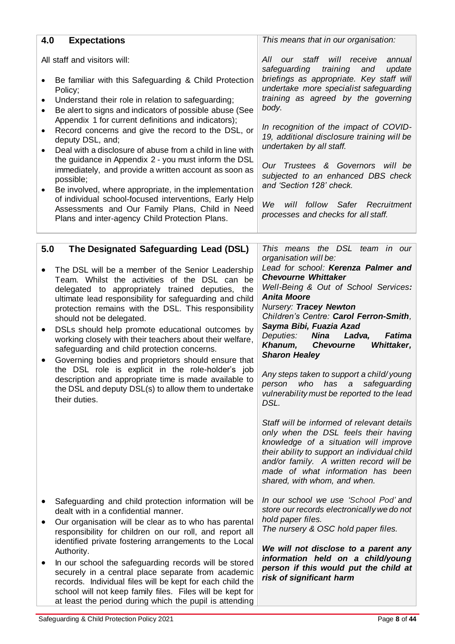| 4.0                      | <b>Expectations</b>                                                                                                                                                                                                                                                                                                                                                                                                                                                                                                                                                                                                                                                                                                                                                   | This means that in our organisation:                                                                                                                                                                                                                                                                                                                                                                                                                                                                                                                                                                                                                                                                                                                                                                                                             |
|--------------------------|-----------------------------------------------------------------------------------------------------------------------------------------------------------------------------------------------------------------------------------------------------------------------------------------------------------------------------------------------------------------------------------------------------------------------------------------------------------------------------------------------------------------------------------------------------------------------------------------------------------------------------------------------------------------------------------------------------------------------------------------------------------------------|--------------------------------------------------------------------------------------------------------------------------------------------------------------------------------------------------------------------------------------------------------------------------------------------------------------------------------------------------------------------------------------------------------------------------------------------------------------------------------------------------------------------------------------------------------------------------------------------------------------------------------------------------------------------------------------------------------------------------------------------------------------------------------------------------------------------------------------------------|
| ٠<br>$\bullet$<br>٠<br>٠ | All staff and visitors will:<br>Be familiar with this Safeguarding & Child Protection<br>Policy;<br>Understand their role in relation to safeguarding;<br>Be alert to signs and indicators of possible abuse (See<br>Appendix 1 for current definitions and indicators);<br>Record concerns and give the record to the DSL, or<br>deputy DSL, and;<br>Deal with a disclosure of abuse from a child in line with<br>the guidance in Appendix 2 - you must inform the DSL<br>immediately, and provide a written account as soon as<br>possible;<br>Be involved, where appropriate, in the implementation<br>of individual school-focused interventions, Early Help<br>Assessments and Our Family Plans, Child in Need<br>Plans and inter-agency Child Protection Plans. | will receive<br>All<br>our staff<br>annual<br>safeguarding<br>update<br>training<br>and<br>briefings as appropriate. Key staff will<br>undertake more specialist safeguarding<br>training as agreed by the governing<br>body.<br>In recognition of the impact of COVID-<br>19, additional disclosure training will be<br>undertaken by all staff.<br>Our Trustees & Governors<br>will be<br>subjected to an enhanced DBS check<br>and 'Section 128' check.<br>will follow Safer Recruitment<br>We .<br>processes and checks for all staff.                                                                                                                                                                                                                                                                                                       |
|                          |                                                                                                                                                                                                                                                                                                                                                                                                                                                                                                                                                                                                                                                                                                                                                                       |                                                                                                                                                                                                                                                                                                                                                                                                                                                                                                                                                                                                                                                                                                                                                                                                                                                  |
| 5.0                      | The Designated Safeguarding Lead (DSL)<br>The DSL will be a member of the Senior Leadership<br>Team. Whilst the activities of the DSL can be<br>delegated to appropriately trained deputies,<br>the<br>ultimate lead responsibility for safeguarding and child<br>protection remains with the DSL. This responsibility<br>should not be delegated.<br>DSLs should help promote educational outcomes by<br>working closely with their teachers about their welfare,<br>safeguarding and child protection concerns.<br>Governing bodies and proprietors should ensure that<br>the DSL role is explicit in the role-holder's job<br>description and appropriate time is made available to<br>the DSL and deputy DSL(s) to allow them to undertake<br>their duties.       | This means the DSL team in our<br>organisation will be:<br>Lead for school: Kerenza Palmer and<br><b>Chevourne Whittaker</b><br>Well-Being & Out of School Services:<br><b>Anita Moore</b><br><b>Nursery: Tracey Newton</b><br>Children's Centre: Carol Ferron-Smith,<br>Sayma Bibi, Fuazia Azad<br><b>Fatima</b><br>Deputies:<br>Nina<br>Ladva,<br>Khanum, Chevourne<br>Whittaker,<br><b>Sharon Healey</b><br>Any steps taken to support a child/young<br>has a safeguarding<br>person who<br>vulnerability must be reported to the lead<br>DSL.<br>Staff will be informed of relevant details<br>only when the DSL feels their having<br>knowledge of a situation will improve<br>their ability to support an individual child<br>and/or family. A written record will be<br>made of what information has been<br>shared, with whom, and when. |
|                          | Safeguarding and child protection information will be<br>dealt with in a confidential manner.<br>Our organisation will be clear as to who has parental<br>responsibility for children on our roll, and report all<br>identified private fostering arrangements to the Local<br>Authority.<br>In our school the safeguarding records will be stored<br>securely in a central place separate from academic<br>records. Individual files will be kept for each child the<br>school will not keep family files. Files will be kept for<br>at least the period during which the pupil is attending                                                                                                                                                                         | In our school we use 'School Pod' and<br>store our records electronically we do not<br>hold paper files.<br>The nursery & OSC hold paper files.<br>We will not disclose to a parent any<br>information held on a child/young<br>person if this would put the child at<br>risk of significant harm                                                                                                                                                                                                                                                                                                                                                                                                                                                                                                                                                |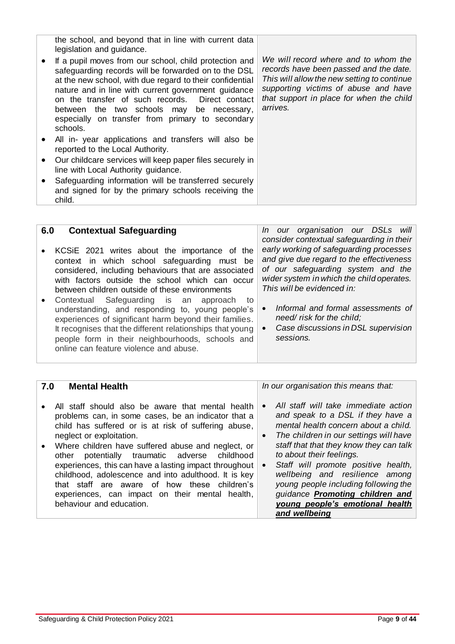|           | the school, and beyond that in line with current data<br>legislation and guidance.                                                                                                                                                                                                                                                                                                                   |                                                                                                                                                                                                                               |
|-----------|------------------------------------------------------------------------------------------------------------------------------------------------------------------------------------------------------------------------------------------------------------------------------------------------------------------------------------------------------------------------------------------------------|-------------------------------------------------------------------------------------------------------------------------------------------------------------------------------------------------------------------------------|
|           | If a pupil moves from our school, child protection and<br>safeguarding records will be forwarded on to the DSL<br>at the new school, with due regard to their confidential<br>nature and in line with current government guidance<br>on the transfer of such records.<br>Direct contact<br>between the two schools may be necessary,<br>especially on transfer from primary to secondary<br>schools. | We will record where and to whom the<br>records have been passed and the date.<br>This will allow the new setting to continue<br>supporting victims of abuse and have<br>that support in place for when the child<br>arrives. |
|           | All in- year applications and transfers will also be<br>reported to the Local Authority.                                                                                                                                                                                                                                                                                                             |                                                                                                                                                                                                                               |
| $\bullet$ | Our childcare services will keep paper files securely in<br>line with Local Authority guidance.                                                                                                                                                                                                                                                                                                      |                                                                                                                                                                                                                               |
|           | Safeguarding information will be transferred securely<br>and signed for by the primary schools receiving the<br>child.                                                                                                                                                                                                                                                                               |                                                                                                                                                                                                                               |

| <b>Contextual Safeguarding</b><br>6.0                                                                                                                                                                                                                                                                                                                                                                                                                                                                                                                                                  | In our organisation our DSLs will<br>consider contextual safeguarding in their                                                                                                                                                                                                                                              |
|----------------------------------------------------------------------------------------------------------------------------------------------------------------------------------------------------------------------------------------------------------------------------------------------------------------------------------------------------------------------------------------------------------------------------------------------------------------------------------------------------------------------------------------------------------------------------------------|-----------------------------------------------------------------------------------------------------------------------------------------------------------------------------------------------------------------------------------------------------------------------------------------------------------------------------|
| KCSIE 2021 writes about the importance of the<br>context in which school safeguarding must be<br>considered, including behaviours that are associated<br>with factors outside the school which can occur<br>between children outside of these environments<br>Contextual Safeguarding is an<br>approach<br>to<br>understanding, and responding to, young people's<br>experiences of significant harm beyond their families.<br>It recognises that the different relationships that young<br>people form in their neighbourhoods, schools and<br>online can feature violence and abuse. | early working of safeguarding processes<br>and give due regard to the effectiveness<br>of our safeguarding system and the<br>wider system in which the child operates.<br>This will be evidenced in:<br>Informal and formal assessments of<br>need/ risk for the child;<br>Case discussions in DSL supervision<br>sessions. |

| <b>Mental Health</b><br>7.0                                                                                                                                                                                                                                                                                                                                                                                                                                                                                                                                             | In our organisation this means that:                                                                                                                                                                                                                                                                                                                                                                                                                                                     |
|-------------------------------------------------------------------------------------------------------------------------------------------------------------------------------------------------------------------------------------------------------------------------------------------------------------------------------------------------------------------------------------------------------------------------------------------------------------------------------------------------------------------------------------------------------------------------|------------------------------------------------------------------------------------------------------------------------------------------------------------------------------------------------------------------------------------------------------------------------------------------------------------------------------------------------------------------------------------------------------------------------------------------------------------------------------------------|
| All staff should also be aware that mental health<br>problems can, in some cases, be an indicator that a<br>child has suffered or is at risk of suffering abuse,<br>neglect or exploitation.<br>Where children have suffered abuse and neglect, or<br>$\bullet$<br>potentially traumatic adverse<br>childhood<br>other<br>experiences, this can have a lasting impact throughout<br>childhood, adolescence and into adulthood. It is key<br>that staff are aware of how these children's<br>experiences, can impact on their mental health,<br>behaviour and education. | All staff will take immediate action<br>$\bullet$<br>and speak to a DSL if they have a<br>mental health concern about a child.<br>The children in our settings will have<br>$\bullet$<br>staff that that they know they can talk<br>to about their feelings.<br>Staff will promote positive health,<br>$\bullet$<br>wellbeing and resilience among<br>young people including following the<br>guidance <b>Promoting children and</b><br>young people's emotional health<br>and wellbeing |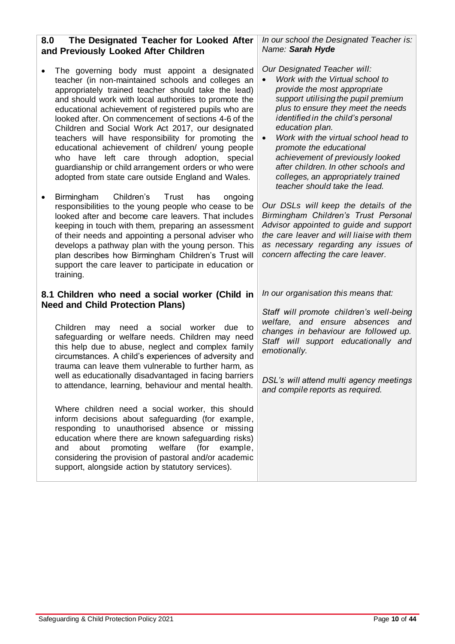| The Designated Teacher for Looked After<br>8.0<br>and Previously Looked After Children                                                                                                                                                                                                                                                                                                                                                                                                                                                                                                                                                                                                                                                                                                                                                                                                                                                                                                                                                                                                                                                            | In our school the Designated Teacher is:<br>Name: Sarah Hyde                                                                                                                                                                                                                                                                                                                                                                                                                                                                                                                                                                                                                                                      |
|---------------------------------------------------------------------------------------------------------------------------------------------------------------------------------------------------------------------------------------------------------------------------------------------------------------------------------------------------------------------------------------------------------------------------------------------------------------------------------------------------------------------------------------------------------------------------------------------------------------------------------------------------------------------------------------------------------------------------------------------------------------------------------------------------------------------------------------------------------------------------------------------------------------------------------------------------------------------------------------------------------------------------------------------------------------------------------------------------------------------------------------------------|-------------------------------------------------------------------------------------------------------------------------------------------------------------------------------------------------------------------------------------------------------------------------------------------------------------------------------------------------------------------------------------------------------------------------------------------------------------------------------------------------------------------------------------------------------------------------------------------------------------------------------------------------------------------------------------------------------------------|
| The governing body must appoint a designated<br>teacher (in non-maintained schools and colleges an<br>appropriately trained teacher should take the lead)<br>and should work with local authorities to promote the<br>educational achievement of registered pupils who are<br>looked after. On commencement of sections 4-6 of the<br>Children and Social Work Act 2017, our designated<br>teachers will have responsibility for promoting the<br>educational achievement of children/ young people<br>have left care through adoption,<br>special<br>who<br>guardianship or child arrangement orders or who were<br>adopted from state care outside England and Wales.<br>Birmingham<br>Children's<br>Trust<br>ongoing<br>has<br>responsibilities to the young people who cease to be<br>looked after and become care leavers. That includes<br>keeping in touch with them, preparing an assessment<br>of their needs and appointing a personal adviser who<br>develops a pathway plan with the young person. This<br>plan describes how Birmingham Children's Trust will<br>support the care leaver to participate in education or<br>training. | Our Designated Teacher will:<br>Work with the Virtual school to<br>provide the most appropriate<br>support utilising the pupil premium<br>plus to ensure they meet the needs<br>identified in the child's personal<br>education plan.<br>Work with the virtual school head to<br>promote the educational<br>achievement of previously looked<br>after children. In other schools and<br>colleges, an appropriately trained<br>teacher should take the lead.<br>Our DSLs will keep the details of the<br>Birmingham Children's Trust Personal<br>Advisor appointed to guide and support<br>the care leaver and will liaise with them<br>as necessary regarding any issues of<br>concern affecting the care leaver. |
| 8.1 Children who need a social worker (Child in<br><b>Need and Child Protection Plans)</b>                                                                                                                                                                                                                                                                                                                                                                                                                                                                                                                                                                                                                                                                                                                                                                                                                                                                                                                                                                                                                                                        | In our organisation this means that:<br>Staff will promote children's well-being                                                                                                                                                                                                                                                                                                                                                                                                                                                                                                                                                                                                                                  |
| Children<br>need a social worker<br>may<br>due<br>to<br>safeguarding or welfare needs. Children may need<br>this help due to abuse, neglect and complex family<br>circumstances. A child's experiences of adversity and<br>trauma can leave them vulnerable to further harm, as                                                                                                                                                                                                                                                                                                                                                                                                                                                                                                                                                                                                                                                                                                                                                                                                                                                                   | welfare, and ensure absences and<br>changes in behaviour are followed up.<br>Staff will support educationally and<br>emotionally.                                                                                                                                                                                                                                                                                                                                                                                                                                                                                                                                                                                 |
| well as educationally disadvantaged in facing barriers<br>to attendance, learning, behaviour and mental health.                                                                                                                                                                                                                                                                                                                                                                                                                                                                                                                                                                                                                                                                                                                                                                                                                                                                                                                                                                                                                                   | DSL's will attend multi agency meetings<br>and compile reports as required.                                                                                                                                                                                                                                                                                                                                                                                                                                                                                                                                                                                                                                       |
| Where children need a social worker, this should<br>inform decisions about safeguarding (for example,<br>responding to unauthorised absence or missing<br>education where there are known safeguarding risks)<br>welfare<br>about<br>promoting<br>(for<br>example,<br>and<br>considering the provision of pastoral and/or academic<br>support, alongside action by statutory services).                                                                                                                                                                                                                                                                                                                                                                                                                                                                                                                                                                                                                                                                                                                                                           |                                                                                                                                                                                                                                                                                                                                                                                                                                                                                                                                                                                                                                                                                                                   |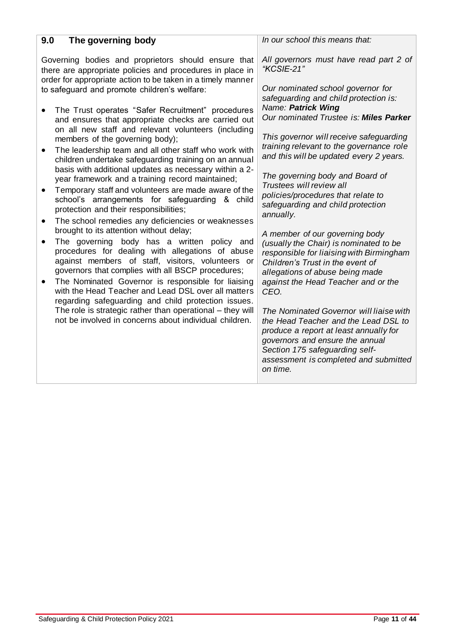| The governing body<br>9.0                                                                                                                                                                                             | In our school this means that:                                                                                                 |
|-----------------------------------------------------------------------------------------------------------------------------------------------------------------------------------------------------------------------|--------------------------------------------------------------------------------------------------------------------------------|
|                                                                                                                                                                                                                       |                                                                                                                                |
| Governing bodies and proprietors should ensure that<br>there are appropriate policies and procedures in place in<br>order for appropriate action to be taken in a timely manner                                       | All governors must have read part 2 of<br>"KCSIE-21"                                                                           |
| to safeguard and promote children's welfare:                                                                                                                                                                          | Our nominated school governor for<br>safeguarding and child protection is:<br>Name: Patrick Wing                               |
| The Trust operates "Safer Recruitment" procedures<br>and ensures that appropriate checks are carried out<br>on all new staff and relevant volunteers (including                                                       | Our nominated Trustee is: Miles Parker                                                                                         |
| members of the governing body);<br>The leadership team and all other staff who work with                                                                                                                              | This governor will receive safeguarding<br>training relevant to the governance role<br>and this will be updated every 2 years. |
| children undertake safeguarding training on an annual<br>basis with additional updates as necessary within a 2-<br>year framework and a training record maintained;                                                   | The governing body and Board of                                                                                                |
| Temporary staff and volunteers are made aware of the<br>school's arrangements for safeguarding & child<br>protection and their responsibilities;                                                                      | Trustees will review all<br>policies/procedures that relate to<br>safeguarding and child protection<br>annually.               |
| The school remedies any deficiencies or weaknesses<br>brought to its attention without delay;                                                                                                                         | A member of our governing body                                                                                                 |
| The governing body has a written policy and<br>procedures for dealing with allegations of abuse<br>against members of staff, visitors, volunteers or                                                                  | (usually the Chair) is nominated to be<br>responsible for liaising with Birmingham<br>Children's Trust in the event of         |
| governors that complies with all BSCP procedures;<br>The Nominated Governor is responsible for liaising<br>with the Head Teacher and Lead DSL over all matters<br>regarding safeguarding and child protection issues. | allegations of abuse being made<br>against the Head Teacher and or the<br>CEO.                                                 |
| The role is strategic rather than operational – they will<br>not be involved in concerns about individual children.                                                                                                   | The Nominated Governor will liaise with<br>the Head Teacher and the Lead DSL to<br>produce a report at least annually for      |
|                                                                                                                                                                                                                       | governors and ensure the annual<br>Section 175 safeguarding self-<br>assessment is completed and submitted<br>on time.         |
|                                                                                                                                                                                                                       |                                                                                                                                |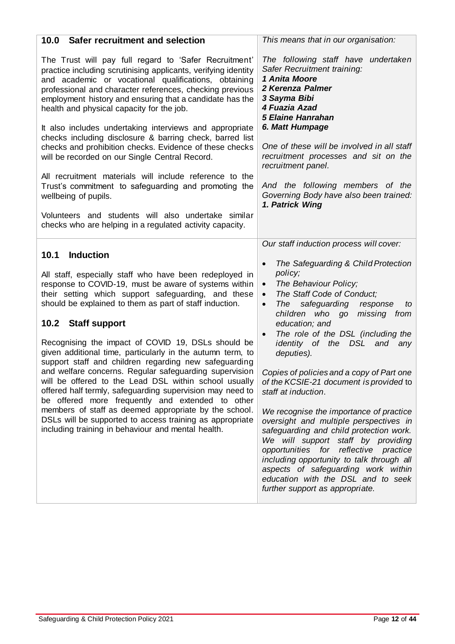| <b>Safer recruitment and selection</b><br>10.0                                                                                                                                                                                                                                                                                                                                                                                                                                                                                                                                                                                                                                                                                                                                                                                                                                   | This means that in our organisation:                                                                                                                                                                                                                                                                                                                                                                                                                                                                                                                                                                                                                                                                                                                                                                                                                                                       |  |  |
|----------------------------------------------------------------------------------------------------------------------------------------------------------------------------------------------------------------------------------------------------------------------------------------------------------------------------------------------------------------------------------------------------------------------------------------------------------------------------------------------------------------------------------------------------------------------------------------------------------------------------------------------------------------------------------------------------------------------------------------------------------------------------------------------------------------------------------------------------------------------------------|--------------------------------------------------------------------------------------------------------------------------------------------------------------------------------------------------------------------------------------------------------------------------------------------------------------------------------------------------------------------------------------------------------------------------------------------------------------------------------------------------------------------------------------------------------------------------------------------------------------------------------------------------------------------------------------------------------------------------------------------------------------------------------------------------------------------------------------------------------------------------------------------|--|--|
| The Trust will pay full regard to 'Safer Recruitment'<br>practice including scrutinising applicants, verifying identity<br>and academic or vocational qualifications, obtaining<br>professional and character references, checking previous<br>employment history and ensuring that a candidate has the<br>health and physical capacity for the job.                                                                                                                                                                                                                                                                                                                                                                                                                                                                                                                             | The following staff have undertaken<br>Safer Recruitment training:<br>1 Anita Moore<br>2 Kerenza Palmer<br>3 Sayma Bibi<br>4 Fuazia Azad<br><b>5 Elaine Hanrahan</b>                                                                                                                                                                                                                                                                                                                                                                                                                                                                                                                                                                                                                                                                                                                       |  |  |
| It also includes undertaking interviews and appropriate<br>checks including disclosure & barring check, barred list<br>checks and prohibition checks. Evidence of these checks<br>will be recorded on our Single Central Record.                                                                                                                                                                                                                                                                                                                                                                                                                                                                                                                                                                                                                                                 | 6. Matt Humpage<br>One of these will be involved in all staff<br>recruitment processes and sit on the<br>recruitment panel.                                                                                                                                                                                                                                                                                                                                                                                                                                                                                                                                                                                                                                                                                                                                                                |  |  |
| All recruitment materials will include reference to the<br>Trust's commitment to safeguarding and promoting the<br>wellbeing of pupils.                                                                                                                                                                                                                                                                                                                                                                                                                                                                                                                                                                                                                                                                                                                                          | And the following members of the<br>Governing Body have also been trained:<br>1. Patrick Wing                                                                                                                                                                                                                                                                                                                                                                                                                                                                                                                                                                                                                                                                                                                                                                                              |  |  |
| Volunteers and students will also undertake similar<br>checks who are helping in a regulated activity capacity.                                                                                                                                                                                                                                                                                                                                                                                                                                                                                                                                                                                                                                                                                                                                                                  |                                                                                                                                                                                                                                                                                                                                                                                                                                                                                                                                                                                                                                                                                                                                                                                                                                                                                            |  |  |
| <b>Induction</b><br>10.1<br>All staff, especially staff who have been redeployed in<br>response to COVID-19, must be aware of systems within<br>their setting which support safeguarding, and these<br>should be explained to them as part of staff induction.<br>10.2 Staff support<br>Recognising the impact of COVID 19, DSLs should be<br>given additional time, particularly in the autumn term, to<br>support staff and children regarding new safeguarding<br>and welfare concerns. Regular safeguarding supervision<br>will be offered to the Lead DSL within school usually<br>offered half termly, safeguarding supervision may need to<br>be offered more frequently and extended to other<br>members of staff as deemed appropriate by the school.<br>DSLs will be supported to access training as appropriate<br>including training in behaviour and mental health. | Our staff induction process will cover:<br>The Safeguarding & Child Protection<br>$\bullet$<br>policy;<br>The Behaviour Policy;<br>$\bullet$<br>The Staff Code of Conduct;<br>$\bullet$<br>safeguarding response<br>The<br>$\bullet$<br>to<br>children who go<br>missing from<br>education; and<br>The role of the DSL (including the<br>$\bullet$<br>identity of the DSL and any<br>deputies).<br>Copies of policies and a copy of Part one<br>of the KCSIE-21 document is provided to<br>staff at induction.<br>We recognise the importance of practice<br>oversight and multiple perspectives in<br>safeguarding and child protection work.<br>We will support staff by providing<br>opportunities for reflective practice<br>including opportunity to talk through all<br>aspects of safeguarding work within<br>education with the DSL and to seek<br>further support as appropriate. |  |  |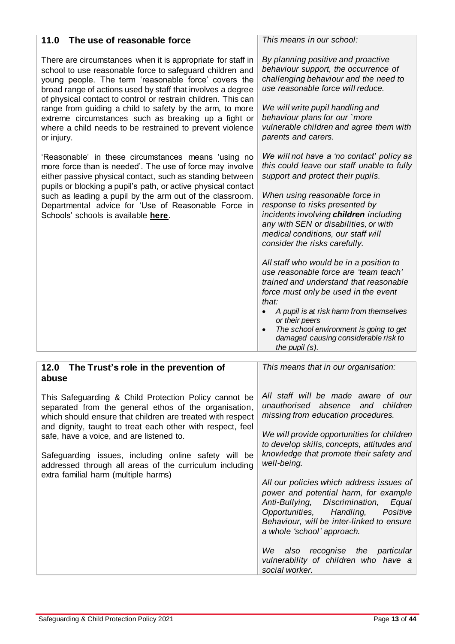| 11.0<br>The use of reasonable force                                                                                                                                                                                                                                                                                                                                                                                                                                                                           | This means in our school:                                                                                                                                                                                                                                                                                                                                                                                                                                                                                                                                                                                                                                                                                                               |  |
|---------------------------------------------------------------------------------------------------------------------------------------------------------------------------------------------------------------------------------------------------------------------------------------------------------------------------------------------------------------------------------------------------------------------------------------------------------------------------------------------------------------|-----------------------------------------------------------------------------------------------------------------------------------------------------------------------------------------------------------------------------------------------------------------------------------------------------------------------------------------------------------------------------------------------------------------------------------------------------------------------------------------------------------------------------------------------------------------------------------------------------------------------------------------------------------------------------------------------------------------------------------------|--|
| There are circumstances when it is appropriate for staff in<br>school to use reasonable force to safeguard children and<br>young people. The term 'reasonable force' covers the<br>broad range of actions used by staff that involves a degree<br>of physical contact to control or restrain children. This can<br>range from guiding a child to safety by the arm, to more<br>extreme circumstances such as breaking up a fight or<br>where a child needs to be restrained to prevent violence<br>or injury. | By planning positive and proactive<br>behaviour support, the occurrence of<br>challenging behaviour and the need to<br>use reasonable force will reduce.<br>We will write pupil handling and<br>behaviour plans for our `more<br>vulnerable children and agree them with<br>parents and carers.                                                                                                                                                                                                                                                                                                                                                                                                                                         |  |
| 'Reasonable' in these circumstances means 'using no<br>more force than is needed'. The use of force may involve<br>either passive physical contact, such as standing between<br>pupils or blocking a pupil's path, or active physical contact<br>such as leading a pupil by the arm out of the classroom.<br>Departmental advice for 'Use of Reasonable Force in<br>Schools' schools is available here.                                                                                                       | We will not have a 'no contact' policy as<br>this could leave our staff unable to fully<br>support and protect their pupils.<br>When using reasonable force in<br>response to risks presented by<br>incidents involving children including<br>any with SEN or disabilities, or with<br>medical conditions, our staff will<br>consider the risks carefully.<br>All staff who would be in a position to<br>use reasonable force are 'team teach'<br>trained and understand that reasonable<br>force must only be used in the event<br>that:<br>A pupil is at risk harm from themselves<br>$\bullet$<br>or their peers<br>The school environment is going to get<br>$\bullet$<br>damaged causing considerable risk to<br>the pupil $(s)$ . |  |

| 12.0 The Trust's role in the prevention of                                                                                                                                                                                                                                                                                                                                                                                                        | This means that in our organisation:                                                                                                                                                                                                                                                                                                    |
|---------------------------------------------------------------------------------------------------------------------------------------------------------------------------------------------------------------------------------------------------------------------------------------------------------------------------------------------------------------------------------------------------------------------------------------------------|-----------------------------------------------------------------------------------------------------------------------------------------------------------------------------------------------------------------------------------------------------------------------------------------------------------------------------------------|
| abuse                                                                                                                                                                                                                                                                                                                                                                                                                                             |                                                                                                                                                                                                                                                                                                                                         |
| This Safeguarding & Child Protection Policy cannot be<br>separated from the general ethos of the organisation,<br>which should ensure that children are treated with respect<br>and dignity, taught to treat each other with respect, feel<br>safe, have a voice, and are listened to.<br>Safeguarding issues, including online safety will be<br>addressed through all areas of the curriculum including<br>extra familial harm (multiple harms) | All staff will be made aware of our<br>unauthorised absence and children<br>missing from education procedures.<br>We will provide opportunities for children<br>to develop skills, concepts, attitudes and<br>knowledge that promote their safety and<br>well-being.                                                                    |
|                                                                                                                                                                                                                                                                                                                                                                                                                                                   | All our policies which address issues of<br>power and potential harm, for example<br>Anti-Bullying, Discrimination, Equal<br>Opportunities, Handling, Positive<br>Behaviour, will be inter-linked to ensure<br>a whole 'school' approach.<br>We also recognise the particular<br>vulnerability of children who have a<br>social worker. |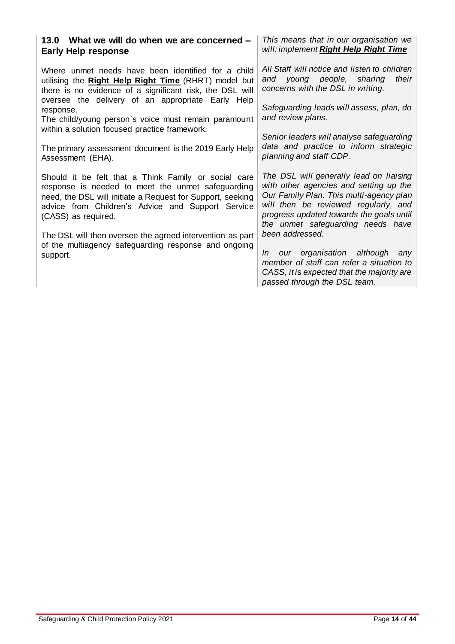| 13.0 What we will do when we are concerned -<br><b>Early Help response</b>                                                                                                                                                                                                                                       | This means that in our organisation we<br>will: implement Right Help Right Time                                                                                                                                                                                          |
|------------------------------------------------------------------------------------------------------------------------------------------------------------------------------------------------------------------------------------------------------------------------------------------------------------------|--------------------------------------------------------------------------------------------------------------------------------------------------------------------------------------------------------------------------------------------------------------------------|
| Where unmet needs have been identified for a child<br>utilising the Right Help Right Time (RHRT) model but<br>there is no evidence of a significant risk, the DSL will                                                                                                                                           | All Staff will notice and listen to children<br>and young people, sharing<br>their<br>concerns with the DSL in writing.                                                                                                                                                  |
| oversee the delivery of an appropriate Early Help<br>response.<br>The child/young person's voice must remain paramount<br>within a solution focused practice framework.                                                                                                                                          | Safeguarding leads will assess, plan, do<br>and review plans.                                                                                                                                                                                                            |
| The primary assessment document is the 2019 Early Help<br>Assessment (EHA).                                                                                                                                                                                                                                      | Senior leaders will analyse safeguarding<br>data and practice to inform strategic<br>planning and staff CDP.                                                                                                                                                             |
| Should it be felt that a Think Family or social care<br>response is needed to meet the unmet safeguarding<br>need, the DSL will initiate a Request for Support, seeking<br>advice from Children's Advice and Support Service<br>(CASS) as required.<br>The DSL will then oversee the agreed intervention as part | The DSL will generally lead on liaising<br>with other agencies and setting up the<br>Our Family Plan. This multi-agency plan<br>will then be reviewed regularly, and<br>progress updated towards the goals until<br>the unmet safeguarding needs have<br>been addressed. |
| of the multiagency safeguarding response and ongoing<br>support.                                                                                                                                                                                                                                                 | organisation although any<br>In<br>our<br>member of staff can refer a situation to<br>CASS, it is expected that the majority are<br>passed through the DSL team.                                                                                                         |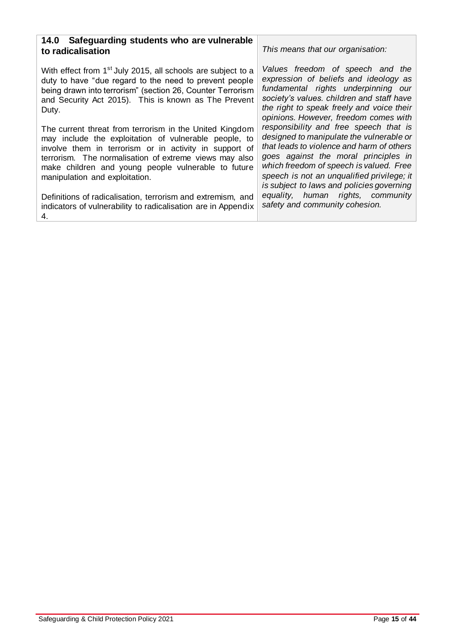| 14.0 Safeguarding students who are vulnerable<br>to radicalisation                                                                                                                                                                                                                                                                                                                           | This means that our organisation:                                                                                                                                                                                                                                                                                                                                                                                                                                                                                                                                                                         |  |
|----------------------------------------------------------------------------------------------------------------------------------------------------------------------------------------------------------------------------------------------------------------------------------------------------------------------------------------------------------------------------------------------|-----------------------------------------------------------------------------------------------------------------------------------------------------------------------------------------------------------------------------------------------------------------------------------------------------------------------------------------------------------------------------------------------------------------------------------------------------------------------------------------------------------------------------------------------------------------------------------------------------------|--|
| With effect from 1 <sup>st</sup> July 2015, all schools are subject to a<br>duty to have "due regard to the need to prevent people<br>being drawn into terrorism" (section 26, Counter Terrorism<br>and Security Act 2015). This is known as The Prevent<br>Duty.                                                                                                                            | Values freedom of speech and the<br>expression of beliefs and ideology as<br>fundamental rights underpinning our<br>society's values. children and staff have<br>the right to speak freely and voice their<br>opinions. However, freedom comes with<br>responsibility and free speech that is<br>designed to manipulate the vulnerable or<br>that leads to violence and harm of others<br>goes against the moral principles in<br>which freedom of speech is valued. Free<br>speech is not an unqualified privilege; it<br>is subject to laws and policies governing<br>equality, human rights, community |  |
| The current threat from terrorism in the United Kingdom<br>may include the exploitation of vulnerable people, to<br>involve them in terrorism or in activity in support of<br>terrorism. The normalisation of extreme views may also<br>make children and young people vulnerable to future<br>manipulation and exploitation.<br>Definitions of radicalisation, terrorism and extremism, and |                                                                                                                                                                                                                                                                                                                                                                                                                                                                                                                                                                                                           |  |
| indicators of vulnerability to radicalisation are in Appendix<br>4.                                                                                                                                                                                                                                                                                                                          | safety and community cohesion.                                                                                                                                                                                                                                                                                                                                                                                                                                                                                                                                                                            |  |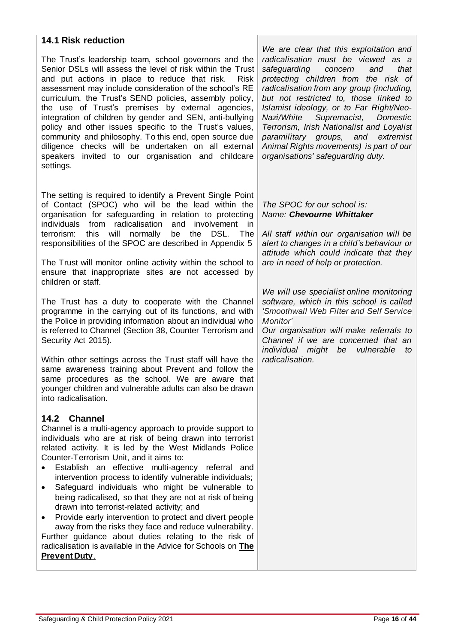#### **14.1 Risk reduction**

The Trust's leadership team, school governors and the Senior DSLs will assess the level of risk within the Trust and put actions in place to reduce that risk. Risk assessment may include consideration of the school's RE curriculum, the Trust's SEND policies, assembly policy, the use of Trust's premises by external agencies, integration of children by gender and SEN, anti-bullying policy and other issues specific to the Trust's values, community and philosophy. To this end, open source due diligence checks will be undertaken on all external speakers invited to our organisation and childcare settings.

The setting is required to identify a Prevent Single Point of Contact (SPOC) who will be the lead within the organisation for safeguarding in relation to protecting individuals from radicalisation and involvement in terrorism: this will normally be the DSL. The responsibilities of the SPOC are described in Appendix 5

The Trust will monitor online activity within the school to ensure that inappropriate sites are not accessed by children or staff.

The Trust has a duty to cooperate with the Channel programme in the carrying out of its functions, and with the Police in providing information about an individual who is referred to Channel (Section 38, Counter Terrorism and Security Act 2015).

Within other settings across the Trust staff will have the same awareness training about Prevent and follow the same procedures as the school. We are aware that younger children and vulnerable adults can also be drawn into radicalisation.

#### **14.2 Channel**

Channel is a multi-agency approach to provide support to individuals who are at risk of being drawn into terrorist related activity. It is led by the West Midlands Police Counter-Terrorism Unit, and it aims to:

- Establish an effective multi-agency referral and intervention process to identify vulnerable individuals;
- Safeguard individuals who might be vulnerable to being radicalised, so that they are not at risk of being drawn into terrorist-related activity; and

• Provide early intervention to protect and divert people away from the risks they face and reduce vulnerability. Further guidance about duties relating to the risk of radicalisation is available in the Advice for Schools on **[The](https://www.gov.uk/government/publications/protecting-children-from-radicalisation-the-prevent-duty)  [Prevent Duty](https://www.gov.uk/government/publications/protecting-children-from-radicalisation-the-prevent-duty)**.

*We are clear that this exploitation and radicalisation must be viewed as a safeguarding concern and that protecting children from the risk of radicalisation from any group (including, but not restricted to, those linked to Islamist ideology, or to Far Right/Neo-Nazi/White Supremacist, Domestic Terrorism, Irish Nationalist and Loyalist paramilitary groups, and extremist Animal Rights movements) is part of our organisations' safeguarding duty.*

#### *The SPOC for our school is: Name: Chevourne Whittaker*

*All staff within our organisation will be alert to changes in a child's behaviour or attitude which could indicate that they are in need of help or protection.*

*We will use specialist online monitoring software, which in this school is called 'Smoothwall Web Filter and Self Service Monitor'*

*Our organisation will make referrals to Channel if we are concerned that an individual might be vulnerable to radicalisation.*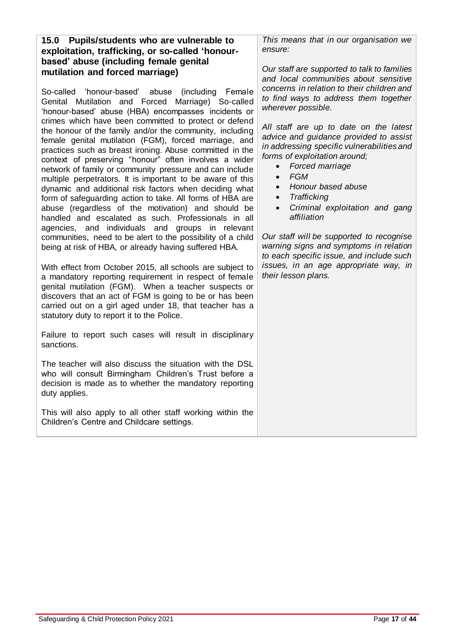#### **15.0 Pupils/students who are vulnerable to exploitation, trafficking, or so-called 'honourbased' abuse (including female genital mutilation and forced marriage)**

So-called 'honour-based' abuse (including Female Genital Mutilation and Forced Marriage) So-called 'honour-based' abuse (HBA) encompasses incidents or crimes which have been committed to protect or defend the honour of the family and/or the community, including female genital mutilation (FGM), forced marriage, and practices such as breast ironing. Abuse committed in the context of preserving "honour" often involves a wider network of family or community pressure and can include multiple perpetrators. It is important to be aware of this dynamic and additional risk factors when deciding what form of safeguarding action to take. All forms of HBA are abuse (regardless of the motivation) and should be handled and escalated as such. Professionals in all agencies, and individuals and groups in relevant communities, need to be alert to the possibility of a child being at risk of HBA, or already having suffered HBA.

With effect from October 2015, all schools are subject to a mandatory reporting requirement in respect of female genital mutilation (FGM). When a teacher suspects or discovers that an act of FGM is going to be or has been carried out on a girl aged under 18, that teacher has a statutory duty to report it to the Police.

Failure to report such cases will result in disciplinary sanctions.

The teacher will also discuss the situation with the DSL who will consult Birmingham Children's Trust before a decision is made as to whether the mandatory reporting duty applies.

This will also apply to all other staff working within the Children's Centre and Childcare settings.

*This means that in our organisation we ensure:*

*Our staff are supported to talk to families and local communities about sensitive concerns in relation to their children and to find ways to address them together wherever possible.*

*All staff are up to date on the latest advice and guidance provided to assist in addressing specific vulnerabilities and forms of exploitation around;*

- *Forced marriage*
- *FGM*
- *Honour based abuse*
- *Trafficking*
- *Criminal exploitation and gang affiliation*

*Our staff will be supported to recognise warning signs and symptoms in relation to each specific issue, and include such issues, in an age appropriate way, in their lesson plans.*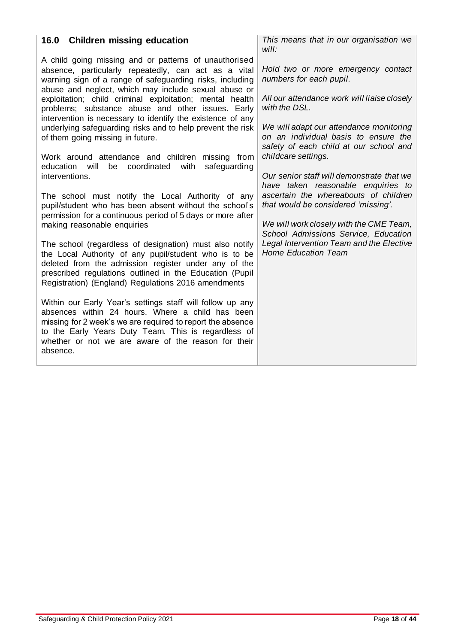| 16.0 Children missing education                                                                                                                                                                                                                                                                                                                                                                                                                                                                                                                                                                                                                                                                                                                                                                                                                                                                                                                                                                                                                                                                                                                                   | This means that in our organisation we<br>will:                                                                                                                                                                                                                                                                                                                                                                                                                                                                                                                                                                   |
|-------------------------------------------------------------------------------------------------------------------------------------------------------------------------------------------------------------------------------------------------------------------------------------------------------------------------------------------------------------------------------------------------------------------------------------------------------------------------------------------------------------------------------------------------------------------------------------------------------------------------------------------------------------------------------------------------------------------------------------------------------------------------------------------------------------------------------------------------------------------------------------------------------------------------------------------------------------------------------------------------------------------------------------------------------------------------------------------------------------------------------------------------------------------|-------------------------------------------------------------------------------------------------------------------------------------------------------------------------------------------------------------------------------------------------------------------------------------------------------------------------------------------------------------------------------------------------------------------------------------------------------------------------------------------------------------------------------------------------------------------------------------------------------------------|
| A child going missing and or patterns of unauthorised<br>absence, particularly repeatedly, can act as a vital<br>warning sign of a range of safeguarding risks, including<br>abuse and neglect, which may include sexual abuse or<br>exploitation; child criminal exploitation; mental health<br>problems; substance abuse and other issues. Early<br>intervention is necessary to identify the existence of any<br>underlying safeguarding risks and to help prevent the risk<br>of them going missing in future.<br>Work around attendance and children missing from<br>will<br>be coordinated<br>with<br>safeguarding<br>education<br>interventions.<br>The school must notify the Local Authority of any<br>pupil/student who has been absent without the school's<br>permission for a continuous period of 5 days or more after<br>making reasonable enquiries<br>The school (regardless of designation) must also notify<br>the Local Authority of any pupil/student who is to be<br>deleted from the admission register under any of the<br>prescribed regulations outlined in the Education (Pupil<br>Registration) (England) Regulations 2016 amendments | Hold two or more emergency contact<br>numbers for each pupil.<br>All our attendance work will liaise closely<br>with the DSL.<br>We will adapt our attendance monitoring<br>on an individual basis to ensure the<br>safety of each child at our school and<br>childcare settings.<br>Our senior staff will demonstrate that we<br>have taken reasonable enquiries to<br>ascertain the whereabouts of children<br>that would be considered 'missing'.<br>We will work closely with the CME Team,<br>School Admissions Service, Education<br>Legal Intervention Team and the Elective<br><b>Home Education Team</b> |
| Within our Early Year's settings staff will follow up any<br>absences within 24 hours. Where a child has been<br>missing for 2 week's we are required to report the absence<br>to the Early Years Duty Team. This is regardless of<br>whether or not we are aware of the reason for their<br>absence.                                                                                                                                                                                                                                                                                                                                                                                                                                                                                                                                                                                                                                                                                                                                                                                                                                                             |                                                                                                                                                                                                                                                                                                                                                                                                                                                                                                                                                                                                                   |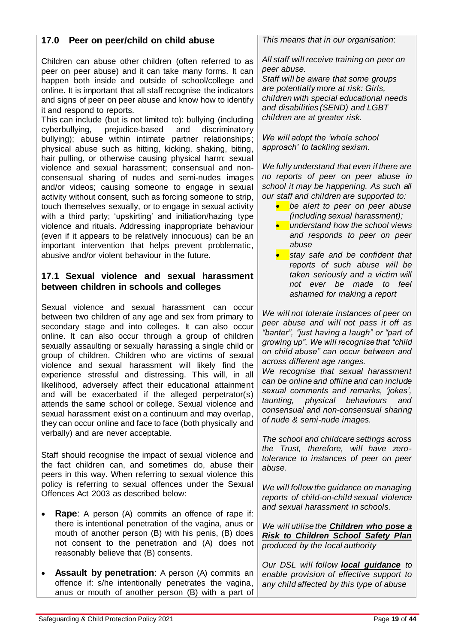#### **17.0 Peer on peer/child on child abuse**

Children can abuse other children (often referred to as peer on peer abuse) and it can take many forms. It can happen both inside and outside of school/college and online. It is important that all staff recognise the indicators and signs of peer on peer abuse and know how to identify it and respond to reports.

This can include (but is not limited to): bullying (including cyberbullying, prejudice-based and discriminatory bullying); abuse within intimate partner relationships; physical abuse such as hitting, kicking, shaking, biting, hair pulling, or otherwise causing physical harm; sexual violence and sexual harassment; consensual and nonconsensual sharing of nudes and semi-nudes images and/or videos; causing someone to engage in sexual activity without consent, such as forcing someone to strip, touch themselves sexually, or to engage in sexual activity with a third party; 'upskirting' and initiation/hazing type violence and rituals. Addressing inappropriate behaviour (even if it appears to be relatively innocuous) can be an important intervention that helps prevent problematic, abusive and/or violent behaviour in the future.

#### **17.1 Sexual violence and sexual harassment between children in schools and colleges**

Sexual violence and sexual harassment can occur between two children of any age and sex from primary to secondary stage and into colleges. It can also occur online. It can also occur through a group of children sexually assaulting or sexually harassing a single child or group of children. Children who are victims of sexual violence and sexual harassment will likely find the experience stressful and distressing. This will, in all likelihood, adversely affect their educational attainment and will be exacerbated if the alleged perpetrator(s) attends the same school or college. Sexual violence and sexual harassment exist on a continuum and may overlap, they can occur online and face to face (both physically and verbally) and are never acceptable.

Staff should recognise the impact of sexual violence and the fact children can, and sometimes do, abuse their peers in this way. When referring to sexual violence this policy is referring to sexual offences under the Sexual Offences Act 2003 as described below:

- **Rape**: A person (A) commits an offence of rape if: there is intentional penetration of the vagina, anus or mouth of another person (B) with his penis, (B) does not consent to the penetration and (A) does not reasonably believe that (B) consents.
- **Assault by penetration:** A person (A) commits an offence if: s/he intentionally penetrates the vagina, anus or mouth of another person (B) with a part of

*This means that in our organisation*:

*All staff will receive training on peer on peer abuse.*

*Staff will be aware that some groups are potentially more at risk: Girls, children with special educational needs and disabilities (SEND) and LGBT children are at greater risk.*

*We will adopt the 'whole school approach' to tackling sexism.*

*We fully understand that even if there are no reports of peer on peer abuse in school it may be happening. As such all our staff and children are supported to:* 

- *be alert to peer on peer abuse (including sexual harassment);*
- *understand how the school views and responds to peer on peer abuse*
- *stay safe and be confident that reports of such abuse will be taken seriously and a victim will not ever be made to feel ashamed for making a report*

*We will not tolerate instances of peer on peer abuse and will not pass it off as "banter", "just having a laugh" or "part of growing up". We will recognise that "child on child abuse" can occur between and across different age ranges.*

*We recognise that sexual harassment can be online and offline and can include sexual comments and remarks, 'jokes', taunting, physical behaviours and consensual and non-consensual sharing of nude & semi-nude images.*

*The school and childcare settings across the Trust, therefore, will have zerotolerance to instances of peer on peer abuse.*

*We will follow the guidance on managing reports of child-on-child sexual violence and sexual harassment in schools.*

*We will utilise the [Children who pose a](https://www.birmingham.gov.uk/downloads/file/9504/children_who_pose_a_risk_to_children)  [Risk to Children School Safety Plan](https://www.birmingham.gov.uk/downloads/file/9504/children_who_pose_a_risk_to_children) produced by the local authority* 

*Our DSL will follow [local guidance](https://www.birmingham.gov.uk/downloads/file/8321/responding_to_hsb_-_school_guidance) to enable provision of effective support to any child affected by this type of abuse*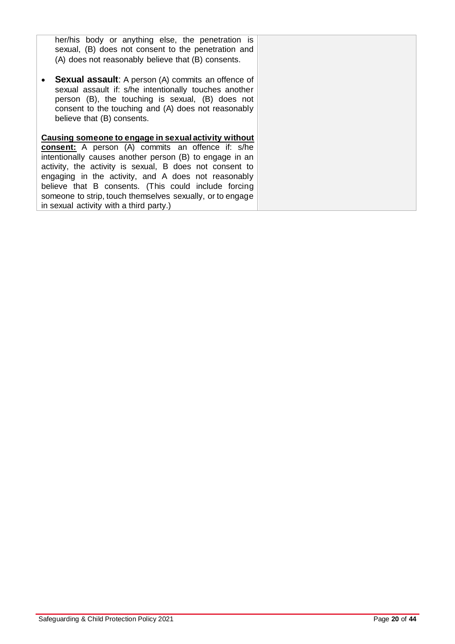her/his body or anything else, the penetration is sexual, (B) does not consent to the penetration and (A) does not reasonably believe that (B) consents.

• **Sexual assault**: A person (A) commits an offence of sexual assault if: s/he intentionally touches another person (B), the touching is sexual, (B) does not consent to the touching and (A) does not reasonably believe that (B) consents.

**Causing someone to engage in sexual activity without consent:** A person (A) commits an offence if: s/he intentionally causes another person (B) to engage in an activity, the activity is sexual, B does not consent to engaging in the activity, and A does not reasonably believe that B consents. (This could include forcing someone to strip, touch themselves sexually, or to engage in sexual activity with a third party.)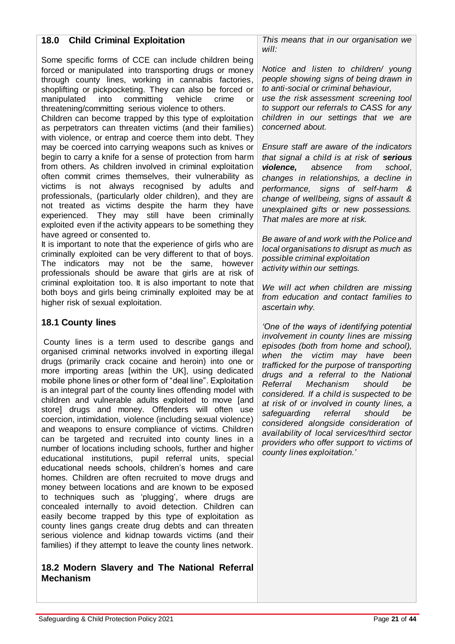# **18.0 Child Criminal Exploitation**

Some specific forms of CCE can include children being forced or manipulated into transporting drugs or money through county lines, working in cannabis factories, shoplifting or pickpocketing. They can also be forced or manipulated into committing vehicle crime or threatening/committing serious violence to others.

Children can become trapped by this type of exploitation as perpetrators can threaten victims (and their families) with violence, or entrap and coerce them into debt. They may be coerced into carrying weapons such as knives or begin to carry a knife for a sense of protection from harm from others. As children involved in criminal exploitation often commit crimes themselves, their vulnerability as victims is not always recognised by adults and professionals, (particularly older children), and they are not treated as victims despite the harm they have experienced. They may still have been criminally exploited even if the activity appears to be something they have agreed or consented to.

It is important to note that the experience of girls who are criminally exploited can be very different to that of boys. The indicators may not be the same, however professionals should be aware that girls are at risk of criminal exploitation too. It is also important to note that both boys and girls being criminally exploited may be at higher risk of sexual exploitation.

#### **18.1 County lines**

County lines is a term used to describe gangs and organised criminal networks involved in exporting illegal drugs (primarily crack cocaine and heroin) into one or more importing areas [within the UK], using dedicated mobile phone lines or other form of "deal line". Exploitation is an integral part of the county lines offending model with children and vulnerable adults exploited to move [and store] drugs and money. Offenders will often use coercion, intimidation, violence (including sexual violence) and weapons to ensure compliance of victims. Children can be targeted and recruited into county lines in a number of locations including schools, further and higher educational institutions, pupil referral units, special educational needs schools, children's homes and care homes. Children are often recruited to move drugs and money between locations and are known to be exposed to techniques such as 'plugging', where drugs are concealed internally to avoid detection. Children can easily become trapped by this type of exploitation as county lines gangs create drug debts and can threaten serious violence and kidnap towards victims (and their families) if they attempt to leave the county lines network.

#### **18.2 Modern Slavery and The National Referral Mechanism**

*This means that in our organisation we will:* 

*Notice and listen to children/ young people showing signs of being drawn in to anti-social or criminal behaviour, use the risk assessment screening tool* 

*to support our referrals to CASS for any children in our settings that we are concerned about.*

*Ensure staff are aware of the indicators that signal a child is at risk of serious violence, absence from school, changes in relationships, a decline in performance, signs of self-harm & change of wellbeing, signs of assault & unexplained gifts or new possessions. That males are more at risk.*

*Be aware of and work with the Police and local organisations to disrupt as much as possible criminal exploitation activity within our settings.*

*We will act when children are missing from education and contact families to ascertain why.* 

*'One of the ways of identifying potential involvement in county lines are missing episodes (both from home and school), when the victim may have been trafficked for the purpose of transporting drugs and a referral to the National Referral Mechanism should be considered. If a child is suspected to be at risk of or involved in county lines, a safeguarding referral should be considered alongside consideration of availability of local services/third sector providers who offer support to victims of county lines exploitation.'*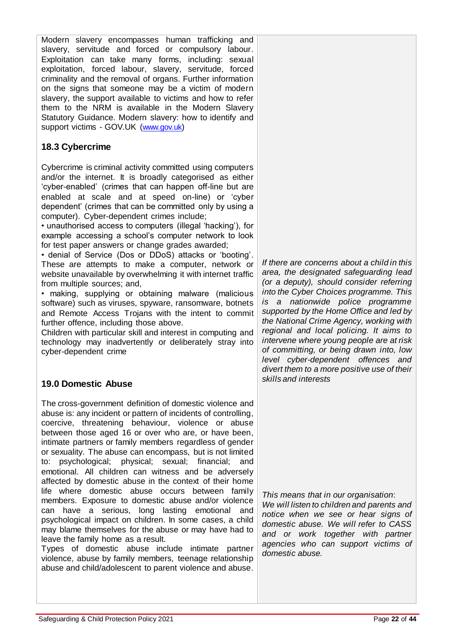Modern slavery encompasses human trafficking and slavery, servitude and forced or compulsory labour. Exploitation can take many forms, including: sexual exploitation, forced labour, slavery, servitude, forced criminality and the removal of organs. Further information on the signs that someone may be a victim of modern slavery, the support available to victims and how to refer them to the NRM is available in the Modern Slavery Statutory Guidance. Modern slavery: how to identify and support victims - GOV.UK ([www.gov.uk](http://www.gov.uk/))

# **18.3 Cybercrime**

Cybercrime is criminal activity committed using computers and/or the internet. It is broadly categorised as either 'cyber-enabled' (crimes that can happen off-line but are enabled at scale and at speed on-line) or 'cyber dependent' (crimes that can be committed only by using a computer). Cyber-dependent crimes include;

• unauthorised access to computers (illegal 'hacking'), for example accessing a school's computer network to look for test paper answers or change grades awarded;

• denial of Service (Dos or DDoS) attacks or 'booting'. These are attempts to make a computer, network or website unavailable by overwhelming it with internet traffic from multiple sources; and,

• making, supplying or obtaining malware (malicious software) such as viruses, spyware, ransomware, botnets and Remote Access Trojans with the intent to commit further offence, including those above.

Children with particular skill and interest in computing and technology may inadvertently or deliberately stray into cyber-dependent crime

# **19.0 Domestic Abuse**

The cross-government definition of domestic violence and abuse is: any incident or pattern of incidents of controlling, coercive, threatening behaviour, violence or abuse between those aged 16 or over who are, or have been, intimate partners or family members regardless of gender or sexuality. The abuse can encompass, but is not limited to: psychological; physical; sexual; financial; and emotional. All children can witness and be adversely affected by domestic abuse in the context of their home life where domestic abuse occurs between family members. Exposure to domestic abuse and/or violence can have a serious, long lasting emotional and psychological impact on children. In some cases, a child may blame themselves for the abuse or may have had to leave the family home as a result.

Types of domestic abuse include intimate partner violence, abuse by family members, teenage relationship abuse and child/adolescent to parent violence and abuse.

*If there are concerns about a child in this area, the designated safeguarding lead (or a deputy), should consider referring into the Cyber Choices programme. This is a nationwide police programme supported by the Home Office and led by the National Crime Agency, working with regional and local policing. It aims to intervene where young people are at risk of committing, or being drawn into, low level cyber-dependent offences and divert them to a more positive use of their skills and interests*

*This means that in our organisation*: *We will listen to children and parents and notice when we see or hear signs of domestic abuse. We will refer to CASS and or work together with partner agencies who can support victims of domestic abuse.*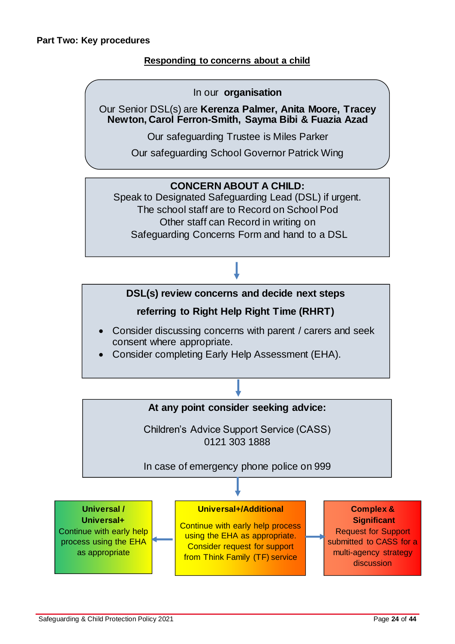# **Responding to concerns about a child**

# In our **organisation**

Our Senior DSL(s) are **Kerenza Palmer, Anita Moore, Tracey Newton, Carol Ferron-Smith, Sayma Bibi & Fuazia Azad**

Our safeguarding Trustee is Miles Parker

Our safeguarding School Governor Patrick Wing

# **CONCERN ABOUT A CHILD:**

Speak to Designated Safeguarding Lead (DSL) if urgent. The school staff are to Record on School Pod Other staff can Record in writing on Safeguarding Concerns Form and hand to a DSL

# **DSL(s) review concerns and decide next steps**

# **referring to Right Help Right Time (RHRT)**

- Consider discussing concerns with parent / carers and seek consent where appropriate.
- Consider completing Early Help Assessment (EHA).

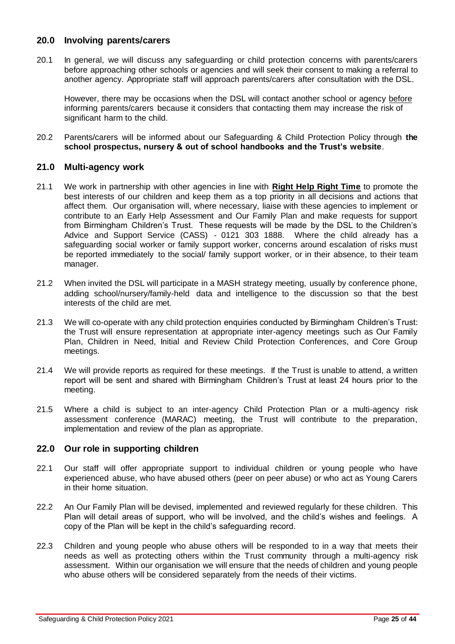#### **20.0 Involving parents/carers**

20.1 In general, we will discuss any safeguarding or child protection concerns with parents/carers before approaching other schools or agencies and will seek their consent to making a referral to another agency. Appropriate staff will approach parents/carers after consultation with the DSL.

However, there may be occasions when the DSL will contact another school or agency before informing parents/carers because it considers that contacting them may increase the risk of significant harm to the child.

20.2 Parents/carers will be informed about our Safeguarding & Child Protection Policy through **the school prospectus, nursery & out of school handbooks and the Trust's website**.

#### **21.0 Multi-agency work**

- 21.1 We work in partnership with other agencies in line with **[Right Help Right Time](http://www.lscbbirmingham.org.uk/index.php/delivering-effective-support)** to promote the best interests of our children and keep them as a top priority in all decisions and actions that affect them. Our organisation will, where necessary, liaise with these agencies to implement or contribute to an Early Help Assessment and Our Family Plan and make requests for support from Birmingham Children's Trust. These requests will be made by the DSL to the Children's Advice and Support Service (CASS) - 0121 303 1888. Where the child already has a safeguarding social worker or family support worker, concerns around escalation of risks must be reported immediately to the social/ family support worker, or in their absence, to their team manager.
- 21.2 When invited the DSL will participate in a MASH strategy meeting, usually by conference phone, adding school/nursery/family-held data and intelligence to the discussion so that the best interests of the child are met.
- 21.3 We will co-operate with any child protection enquiries conducted by Birmingham Children's Trust: the Trust will ensure representation at appropriate inter-agency meetings such as Our Family Plan, Children in Need, Initial and Review Child Protection Conferences, and Core Group meetings.
- 21.4 We will provide reports as required for these meetings. If the Trust is unable to attend, a written report will be sent and shared with Birmingham Children's Trust at least 24 hours prior to the meeting.
- 21.5 Where a child is subject to an inter-agency Child Protection Plan or a multi-agency risk assessment conference (MARAC) meeting, the Trust will contribute to the preparation, implementation and review of the plan as appropriate.

#### **22.0 Our role in supporting children**

- 22.1 Our staff will offer appropriate support to individual children or young people who have experienced abuse, who have abused others (peer on peer abuse) or who act as Young Carers in their home situation.
- 22.2 An Our Family Plan will be devised, implemented and reviewed regularly for these children. This Plan will detail areas of support, who will be involved, and the child's wishes and feelings. A copy of the Plan will be kept in the child's safeguarding record.
- 22.3 Children and young people who abuse others will be responded to in a way that meets their needs as well as protecting others within the Trust community through a multi-agency risk assessment. Within our organisation we will ensure that the needs of children and young people who abuse others will be considered separately from the needs of their victims.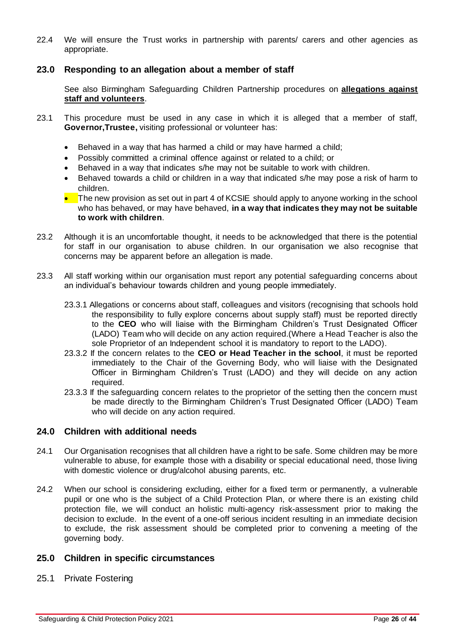22.4 We will ensure the Trust works in partnership with parents/ carers and other agencies as appropriate.

#### **23.0 Responding to an allegation about a member of staff**

See also Birmingham Safeguarding Children Partnership procedures on **[allegations against](http://westmidlands.procedures.org.uk/ykpzy/statutory-child-protection-procedures/allegations-against-staff-or-volunteers)  [staff and volunteers](http://westmidlands.procedures.org.uk/ykpzy/statutory-child-protection-procedures/allegations-against-staff-or-volunteers)**.

- 23.1 This procedure must be used in any case in which it is alleged that a member of staff, **Governor,Trustee,** visiting professional or volunteer has:
	- Behaved in a way that has harmed a child or may have harmed a child;
	- Possibly committed a criminal offence against or related to a child; or
	- Behaved in a way that indicates s/he may not be suitable to work with children.
	- Behaved towards a child or children in a way that indicated s/he may pose a risk of harm to children.
	- $\bullet$  The new provision as set out in part 4 of KCSIE should apply to anyone working in the school who has behaved, or may have behaved, **in a way that indicates they may not be suitable to work with children**.
- 23.2 Although it is an uncomfortable thought, it needs to be acknowledged that there is the potential for staff in our organisation to abuse children. In our organisation we also recognise that concerns may be apparent before an allegation is made.
- 23.3 All staff working within our organisation must report any potential safeguarding concerns about an individual's behaviour towards children and young people immediately.
	- 23.3.1 Allegations or concerns about staff, colleagues and visitors (recognising that schools hold the responsibility to fully explore concerns about supply staff) must be reported directly to the **CEO** who will liaise with the Birmingham Children's Trust Designated Officer (LADO) Team who will decide on any action required.(Where a Head Teacher is also the sole Proprietor of an Independent school it is mandatory to report to the LADO).
	- 23.3.2 If the concern relates to the **CEO or Head Teacher in the school**, it must be reported immediately to the Chair of the Governing Body, who will liaise with the Designated Officer in Birmingham Children's Trust (LADO) and they will decide on any action required.
	- 23.3.3 If the safeguarding concern relates to the proprietor of the setting then the concern must be made directly to the Birmingham Children's Trust Designated Officer (LADO) Team who will decide on any action required.

#### **24.0 Children with additional needs**

- 24.1 Our Organisation recognises that all children have a right to be safe. Some children may be more vulnerable to abuse, for example those with a disability or special educational need, those living with domestic violence or drug/alcohol abusing parents, etc.
- 24.2 When our school is considering excluding, either for a fixed term or permanently, a vulnerable pupil or one who is the subject of a Child Protection Plan, or where there is an existing child protection file, we will conduct an holistic multi-agency risk-assessment prior to making the decision to exclude. In the event of a one-off serious incident resulting in an immediate decision to exclude, the risk assessment should be completed prior to convening a meeting of the governing body.

#### **25.0 Children in specific circumstances**

25.1 Private Fostering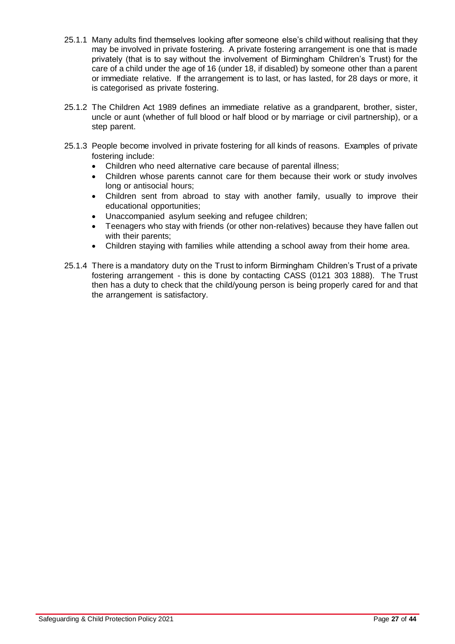- 25.1.1 Many adults find themselves looking after someone else's child without realising that they may be involved in private fostering. A private fostering arrangement is one that is made privately (that is to say without the involvement of Birmingham Children's Trust) for the care of a child under the age of 16 (under 18, if disabled) by someone other than a parent or immediate relative. If the arrangement is to last, or has lasted, for 28 days or more, it is categorised as private fostering.
- 25.1.2 The Children Act 1989 defines an immediate relative as a grandparent, brother, sister, uncle or aunt (whether of full blood or half blood or by marriage or civil partnership), or a step parent.
- 25.1.3 People become involved in private fostering for all kinds of reasons. Examples of private fostering include:
	- Children who need alternative care because of parental illness;
	- Children whose parents cannot care for them because their work or study involves long or antisocial hours;
	- Children sent from abroad to stay with another family, usually to improve their educational opportunities;
	- Unaccompanied asylum seeking and refugee children;
	- Teenagers who stay with friends (or other non-relatives) because they have fallen out with their parents;
	- Children staying with families while attending a school away from their home area.
- 25.1.4 There is a mandatory duty on the Trust to inform Birmingham Children's Trust of a private fostering arrangement - this is done by contacting CASS (0121 303 1888). The Trust then has a duty to check that the child/young person is being properly cared for and that the arrangement is satisfactory.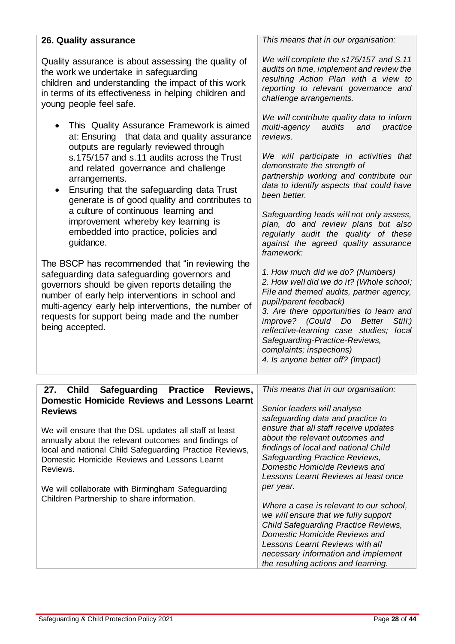| 26. Quality assurance                                                                                                                                                                                                                                                                                                                                                                                                                                                                                                                                                                                                                                                                                                                                                                                                                          | This means that in our organisation:                                                                                                                                                                                                                                                                                                                                                                                                                                                                                                                                                                                                                                                                                                                                                                                                                      |  |  |
|------------------------------------------------------------------------------------------------------------------------------------------------------------------------------------------------------------------------------------------------------------------------------------------------------------------------------------------------------------------------------------------------------------------------------------------------------------------------------------------------------------------------------------------------------------------------------------------------------------------------------------------------------------------------------------------------------------------------------------------------------------------------------------------------------------------------------------------------|-----------------------------------------------------------------------------------------------------------------------------------------------------------------------------------------------------------------------------------------------------------------------------------------------------------------------------------------------------------------------------------------------------------------------------------------------------------------------------------------------------------------------------------------------------------------------------------------------------------------------------------------------------------------------------------------------------------------------------------------------------------------------------------------------------------------------------------------------------------|--|--|
| Quality assurance is about assessing the quality of<br>the work we undertake in safeguarding<br>children and understanding the impact of this work<br>in terms of its effectiveness in helping children and<br>young people feel safe.                                                                                                                                                                                                                                                                                                                                                                                                                                                                                                                                                                                                         | We will complete the s175/157 and S.11<br>audits on time, implement and review the<br>resulting Action Plan with a view to<br>reporting to relevant governance and<br>challenge arrangements.                                                                                                                                                                                                                                                                                                                                                                                                                                                                                                                                                                                                                                                             |  |  |
| This Quality Assurance Framework is aimed<br>$\bullet$<br>at: Ensuring that data and quality assurance<br>outputs are regularly reviewed through<br>s.175/157 and s.11 audits across the Trust<br>and related governance and challenge<br>arrangements.<br>Ensuring that the safeguarding data Trust<br>$\bullet$<br>generate is of good quality and contributes to<br>a culture of continuous learning and<br>improvement whereby key learning is<br>embedded into practice, policies and<br>guidance.<br>The BSCP has recommended that "in reviewing the<br>safeguarding data safeguarding governors and<br>governors should be given reports detailing the<br>number of early help interventions in school and<br>multi-agency early help interventions, the number of<br>requests for support being made and the number<br>being accepted. | We will contribute quality data to inform<br>multi-agency<br>audits<br>and<br>practice<br>reviews.<br>We will participate in activities that<br>demonstrate the strength of<br>partnership working and contribute our<br>data to identify aspects that could have<br>been better.<br>Safeguarding leads will not only assess,<br>plan, do and review plans but also<br>regularly audit the quality of these<br>against the agreed quality assurance<br>framework:<br>1. How much did we do? (Numbers)<br>2. How well did we do it? (Whole school;<br>File and themed audits, partner agency,<br>pupil/parent feedback)<br>3. Are there opportunities to learn and<br>improve? (Could Do Better<br>Still)<br>reflective-learning case studies;<br>local<br>Safeguarding-Practice-Reviews,<br>complaints; inspections)<br>4. Is anyone better off? (Impact) |  |  |
|                                                                                                                                                                                                                                                                                                                                                                                                                                                                                                                                                                                                                                                                                                                                                                                                                                                |                                                                                                                                                                                                                                                                                                                                                                                                                                                                                                                                                                                                                                                                                                                                                                                                                                                           |  |  |
| Safeguarding<br><b>Child</b><br><b>Practice</b><br>27.<br>Reviews,<br><b>Domestic Homicide Reviews and Lessons Learnt</b><br><b>Reviews</b><br>We will ensure that the DSL updates all staff at least<br>annually about the relevant outcomes and findings of<br>local and national Child Safeguarding Practice Reviews,<br>Domestic Homicide Reviews and Lessons Learnt<br>Reviews.<br>We will collaborate with Birmingham Safeguarding<br>Children Partnership to share information.                                                                                                                                                                                                                                                                                                                                                         | This means that in our organisation:<br>Senior leaders will analyse<br>safeguarding data and practice to<br>ensure that all staff receive updates<br>about the relevant outcomes and<br>findings of local and national Child<br>Safeguarding Practice Reviews,<br><b>Domestic Homicide Reviews and</b><br>Lessons Learnt Reviews at least once<br>per year.<br>Where a case is relevant to our school,<br>we will ensure that we fully support<br>Child Safeguarding Practice Reviews,<br>Domestic Homicide Reviews and<br>Lessons Learnt Reviews with all<br>necessary information and implement<br>the resulting actions and learning.                                                                                                                                                                                                                  |  |  |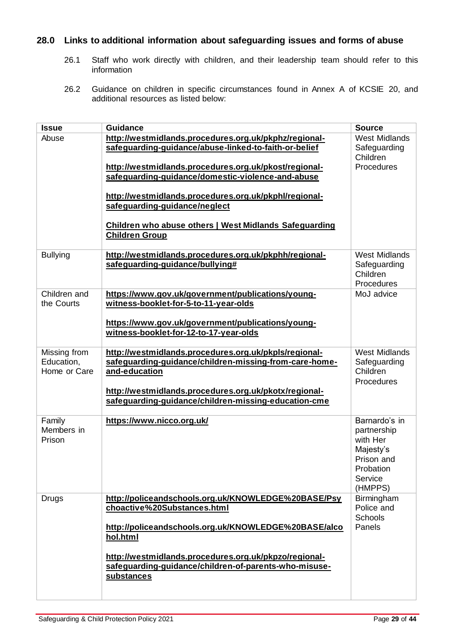# **28.0 Links to additional information about safeguarding issues and forms of abuse**

- 26.1 Staff who work directly with children, and their leadership team should refer to this information
- 26.2 Guidance on children in specific circumstances found in Annex A of KCSIE 20, and additional resources as listed below:

| <b>Issue</b>                               | <b>Guidance</b>                                                                                                                                                                                                                                                                                                        | <b>Source</b>                                                                                          |
|--------------------------------------------|------------------------------------------------------------------------------------------------------------------------------------------------------------------------------------------------------------------------------------------------------------------------------------------------------------------------|--------------------------------------------------------------------------------------------------------|
| Abuse                                      | http://westmidlands.procedures.org.uk/pkphz/regional-<br>safeguarding-guidance/abuse-linked-to-faith-or-belief<br>http://westmidlands.procedures.org.uk/pkost/regional-<br>safeguarding-guidance/domestic-violence-and-abuse<br>http://westmidlands.procedures.org.uk/pkphl/regional-<br>safeguarding-guidance/neglect | <b>West Midlands</b><br>Safeguarding<br>Children<br>Procedures                                         |
|                                            | Children who abuse others   West Midlands Safeguarding<br><b>Children Group</b>                                                                                                                                                                                                                                        |                                                                                                        |
| <b>Bullying</b>                            | http://westmidlands.procedures.org.uk/pkphh/regional-<br>safeguarding-guidance/bullying#                                                                                                                                                                                                                               | <b>West Midlands</b><br>Safeguarding<br>Children<br>Procedures                                         |
| Children and<br>the Courts                 | https://www.gov.uk/government/publications/young-<br>witness-booklet-for-5-to-11-year-olds<br>https://www.gov.uk/government/publications/young-<br>witness-booklet-for-12-to-17-year-olds                                                                                                                              | MoJ advice                                                                                             |
| Missing from<br>Education,<br>Home or Care | http://westmidlands.procedures.org.uk/pkpls/regional-<br>safeguarding-guidance/children-missing-from-care-home-<br>and-education<br>http://westmidlands.procedures.org.uk/pkotx/regional-<br>safeguarding-guidance/children-missing-education-cme                                                                      | <b>West Midlands</b><br>Safeguarding<br>Children<br>Procedures                                         |
| Family<br>Members in<br>Prison             | https://www.nicco.org.uk/                                                                                                                                                                                                                                                                                              | Barnardo's in<br>partnership<br>with Her<br>Majesty's<br>Prison and<br>Probation<br>Service<br>(HMPPS) |
| <b>Drugs</b>                               | http://policeandschools.org.uk/KNOWLEDGE%20BASE/Psy<br>choactive%20Substances.html<br>http://policeandschools.org.uk/KNOWLEDGE%20BASE/alco<br>hol.html<br>http://westmidlands.procedures.org.uk/pkpzo/regional-<br>safeguarding-guidance/children-of-parents-who-misuse-<br>substances                                 | Birmingham<br>Police and<br><b>Schools</b><br>Panels                                                   |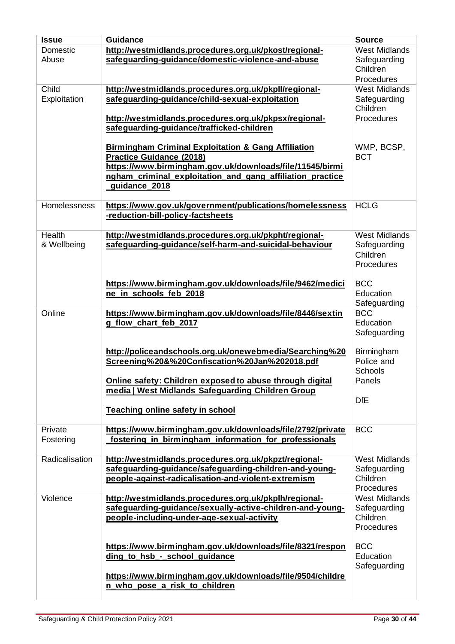| <b>Issue</b>   | <b>Guidance</b>                                                | <b>Source</b>        |
|----------------|----------------------------------------------------------------|----------------------|
| Domestic       | http://westmidlands.procedures.org.uk/pkost/regional-          | <b>West Midlands</b> |
| Abuse          | safeguarding-guidance/domestic-violence-and-abuse              | Safeguarding         |
|                |                                                                | Children             |
|                |                                                                | Procedures           |
| Child          | http://westmidlands.procedures.org.uk/pkpll/regional-          | <b>West Midlands</b> |
| Exploitation   | safeguarding-guidance/child-sexual-exploitation                | Safeguarding         |
|                |                                                                | Children             |
|                | http://westmidlands.procedures.org.uk/pkpsx/regional-          | Procedures           |
|                | safeguarding-guidance/trafficked-children                      |                      |
|                |                                                                |                      |
|                | <b>Birmingham Criminal Exploitation &amp; Gang Affiliation</b> | WMP, BCSP,           |
|                | <b>Practice Guidance (2018)</b>                                | <b>BCT</b>           |
|                | https://www.birmingham.gov.uk/downloads/file/11545/birmi       |                      |
|                | ngham criminal exploitation and gang affiliation practice      |                      |
|                | guidance 2018                                                  |                      |
| Homelessness   | https://www.gov.uk/government/publications/homelessness        | <b>HCLG</b>          |
|                | -reduction-bill-policy-factsheets                              |                      |
|                |                                                                |                      |
| <b>Health</b>  | http://westmidlands.procedures.org.uk/pkpht/regional-          | <b>West Midlands</b> |
| & Wellbeing    | safeguarding-guidance/self-harm-and-suicidal-behaviour         | Safeguarding         |
|                |                                                                | Children             |
|                |                                                                | Procedures           |
|                |                                                                |                      |
|                | https://www.birmingham.gov.uk/downloads/file/9462/medici       | <b>BCC</b>           |
|                | ne_in_schools_feb_2018                                         | Education            |
|                |                                                                | Safeguarding         |
| Online         | https://www.birmingham.gov.uk/downloads/file/8446/sextin       | <b>BCC</b>           |
|                | g_flow_chart_feb_2017                                          | Education            |
|                |                                                                | Safeguarding         |
|                |                                                                |                      |
|                | http://policeandschools.org.uk/onewebmedia/Searching%20        | Birmingham           |
|                | Screening%20&%20Confiscation%20Jan%202018.pdf                  | Police and           |
|                |                                                                | <b>Schools</b>       |
|                | Online safety: Children exposed to abuse through digital       | Panels               |
|                | media   West Midlands Safeguarding Children Group              | <b>DfE</b>           |
|                | <b>Teaching online safety in school</b>                        |                      |
|                |                                                                |                      |
| Private        | https://www.birmingham.gov.uk/downloads/file/2792/private      | <b>BCC</b>           |
| Fostering      | fostering in birmingham information for professionals          |                      |
|                |                                                                |                      |
| Radicalisation | http://westmidlands.procedures.org.uk/pkpzt/regional-          | <b>West Midlands</b> |
|                | safeguarding-guidance/safeguarding-children-and-young-         | Safeguarding         |
|                | people-against-radicalisation-and-violent-extremism            | Children             |
|                |                                                                | Procedures           |
| Violence       | http://westmidlands.procedures.org.uk/pkplh/regional-          | <b>West Midlands</b> |
|                | safeguarding-guidance/sexually-active-children-and-young-      | Safeguarding         |
|                | people-including-under-age-sexual-activity                     | Children             |
|                |                                                                | Procedures           |
|                |                                                                |                      |
|                | https://www.birmingham.gov.uk/downloads/file/8321/respon       | <b>BCC</b>           |
|                | ding to hsb - school guidance                                  | Education            |
|                |                                                                | Safeguarding         |
|                | https://www.birmingham.gov.uk/downloads/file/9504/childre      |                      |
|                | n who pose a risk to children                                  |                      |
|                |                                                                |                      |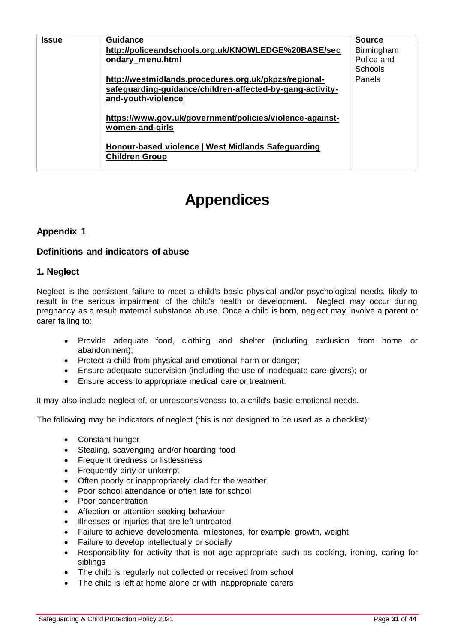| <b>Issue</b> | Guidance                                                                    | <b>Source</b>         |
|--------------|-----------------------------------------------------------------------------|-----------------------|
|              | http://policeandschools.org.uk/KNOWLEDGE%20BASE/sec                         | Birmingham            |
|              | ondary menu.html                                                            | Police and<br>Schools |
|              | http://westmidlands.procedures.org.uk/pkpzs/regional-                       | <b>Panels</b>         |
|              | safeguarding-guidance/children-affected-by-gang-activity-                   |                       |
|              | and-youth-violence                                                          |                       |
|              | https://www.gov.uk/government/policies/violence-against-<br>women-and-girls |                       |
|              | Honour-based violence   West Midlands Safeguarding<br><b>Children Group</b> |                       |

# **Appendices**

# **Appendix 1**

#### **Definitions and indicators of abuse**

#### **1. Neglect**

Neglect is the persistent failure to meet a child's basic physical and/or psychological needs, likely to result in the serious impairment of the child's health or development. Neglect may occur during pregnancy as a result maternal substance abuse. Once a child is born, neglect may involve a parent or carer failing to:

- Provide adequate food, clothing and shelter (including exclusion from home or abandonment);
- Protect a child from physical and emotional harm or danger;
- Ensure adequate supervision (including the use of inadequate care-givers); or
- Ensure access to appropriate medical care or treatment.

It may also include neglect of, or unresponsiveness to, a child's basic emotional needs.

The following may be indicators of neglect (this is not designed to be used as a checklist):

- Constant hunger
- Stealing, scavenging and/or hoarding food
- Frequent tiredness or listlessness
- Frequently dirty or unkempt
- Often poorly or inappropriately clad for the weather
- Poor school attendance or often late for school
- Poor concentration
- Affection or attention seeking behaviour
- Illnesses or injuries that are left untreated
- Failure to achieve developmental milestones, for example growth, weight
- Failure to develop intellectually or socially
- Responsibility for activity that is not age appropriate such as cooking, ironing, caring for siblings
- The child is regularly not collected or received from school
- The child is left at home alone or with inappropriate carers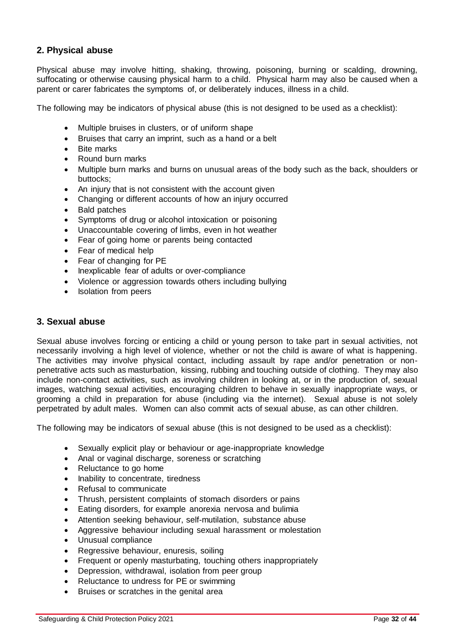# **2. Physical abuse**

Physical abuse may involve hitting, shaking, throwing, poisoning, burning or scalding, drowning, suffocating or otherwise causing physical harm to a child. Physical harm may also be caused when a parent or carer fabricates the symptoms of, or deliberately induces, illness in a child.

The following may be indicators of physical abuse (this is not designed to be used as a checklist):

- Multiple bruises in clusters, or of uniform shape
- Bruises that carry an imprint, such as a hand or a belt
- **Bite marks**
- Round burn marks
- Multiple burn marks and burns on unusual areas of the body such as the back, shoulders or buttocks;
- An injury that is not consistent with the account given
- Changing or different accounts of how an injury occurred
- Bald patches
- Symptoms of drug or alcohol intoxication or poisoning
- Unaccountable covering of limbs, even in hot weather
- Fear of going home or parents being contacted
- Fear of medical help
- Fear of changing for PE
- Inexplicable fear of adults or over-compliance
- Violence or aggression towards others including bullying
- Isolation from peers

#### **3. Sexual abuse**

Sexual abuse involves forcing or enticing a child or young person to take part in sexual activities, not necessarily involving a high level of violence, whether or not the child is aware of what is happening. The activities may involve physical contact, including assault by rape and/or penetration or nonpenetrative acts such as masturbation, kissing, rubbing and touching outside of clothing*.* They may also include non-contact activities, such as involving children in looking at, or in the production of, sexual images, watching sexual activities, encouraging children to behave in sexually inappropriate ways, or grooming a child in preparation for abuse (including via the internet). Sexual abuse is not solely perpetrated by adult males. Women can also commit acts of sexual abuse, as can other children.

The following may be indicators of sexual abuse (this is not designed to be used as a checklist):

- Sexually explicit play or behaviour or age-inappropriate knowledge
- Anal or vaginal discharge, soreness or scratching
- Reluctance to go home
- Inability to concentrate, tiredness
- Refusal to communicate
- Thrush, persistent complaints of stomach disorders or pains
- Eating disorders, for example anorexia nervosa and bulimia
- Attention seeking behaviour, self-mutilation, substance abuse
- Aggressive behaviour including sexual harassment or molestation
- Unusual compliance
- Regressive behaviour, enuresis, soiling
- Frequent or openly masturbating, touching others inappropriately
- Depression, withdrawal, isolation from peer group
- Reluctance to undress for PE or swimming
- Bruises or scratches in the genital area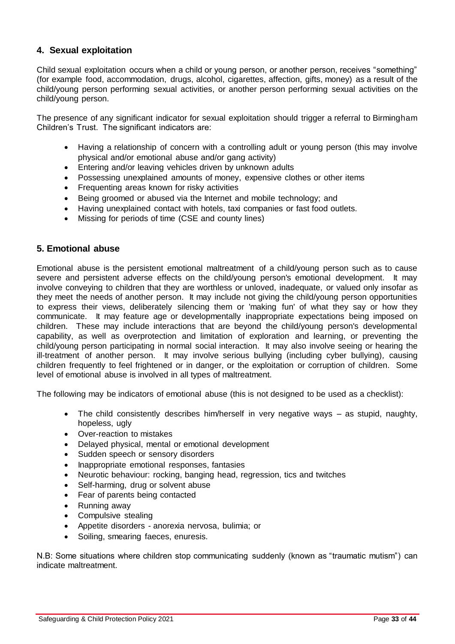# **4. Sexual exploitation**

Child sexual exploitation occurs when a child or young person, or another person, receives "something" (for example food, accommodation, drugs, alcohol, cigarettes, affection, gifts, money) as a result of the child/young person performing sexual activities, or another person performing sexual activities on the child/young person.

The presence of any significant indicator for sexual exploitation should trigger a referral to Birmingham Children's Trust. The significant indicators are:

- Having a relationship of concern with a controlling adult or young person (this may involve physical and/or emotional abuse and/or gang activity)
- Entering and/or leaving vehicles driven by unknown adults
- Possessing unexplained amounts of money, expensive clothes or other items
- Frequenting areas known for risky activities
- Being groomed or abused via the Internet and mobile technology; and
- Having unexplained contact with hotels, taxi companies or fast food outlets.
- Missing for periods of time (CSE and county lines)

#### **5. Emotional abuse**

Emotional abuse is the persistent emotional maltreatment of a child/young person such as to cause severe and persistent adverse effects on the child/young person's emotional development. It may involve conveying to children that they are worthless or unloved, inadequate, or valued only insofar as they meet the needs of another person. It may include not giving the child/young person opportunities to express their views, deliberately silencing them or 'making fun' of what they say or how they communicate. It may feature age or developmentally inappropriate expectations being imposed on children. These may include interactions that are beyond the child/young person's developmental capability, as well as overprotection and limitation of exploration and learning, or preventing the child/young person participating in normal social interaction. It may also involve seeing or hearing the ill-treatment of another person. It may involve serious bullying (including cyber bullying)*,* causing children frequently to feel frightened or in danger, or the exploitation or corruption of children. Some level of emotional abuse is involved in all types of maltreatment.

The following may be indicators of emotional abuse (this is not designed to be used as a checklist):

- The child consistently describes him/herself in very negative ways as stupid, naughty, hopeless, ugly
- Over-reaction to mistakes
- Delayed physical, mental or emotional development
- Sudden speech or sensory disorders
- Inappropriate emotional responses, fantasies
- Neurotic behaviour: rocking, banging head, regression, tics and twitches
- Self-harming, drug or solvent abuse
- Fear of parents being contacted
- Running away
- Compulsive stealing
- Appetite disorders anorexia nervosa, bulimia; or
- Soiling, smearing faeces, enuresis.

N.B: Some situations where children stop communicating suddenly (known as "traumatic mutism") can indicate maltreatment.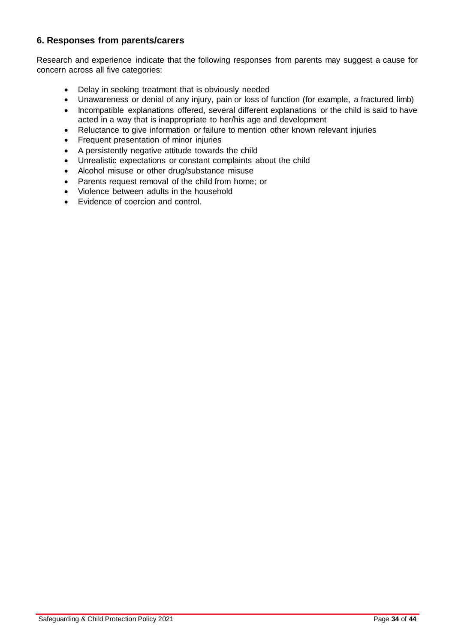# **6. Responses from parents/carers**

Research and experience indicate that the following responses from parents may suggest a cause for concern across all five categories:

- Delay in seeking treatment that is obviously needed
- Unawareness or denial of any injury, pain or loss of function (for example, a fractured limb)
- Incompatible explanations offered, several different explanations or the child is said to have acted in a way that is inappropriate to her/his age and development
- Reluctance to give information or failure to mention other known relevant injuries
- Frequent presentation of minor injuries
- A persistently negative attitude towards the child
- Unrealistic expectations or constant complaints about the child
- Alcohol misuse or other drug/substance misuse
- Parents request removal of the child from home; or
- Violence between adults in the household
- Evidence of coercion and control.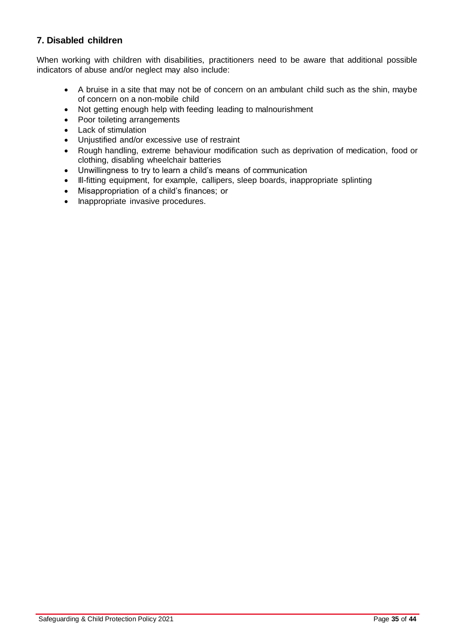# **7. Disabled children**

When working with children with disabilities, practitioners need to be aware that additional possible indicators of abuse and/or neglect may also include:

- A bruise in a site that may not be of concern on an ambulant child such as the shin, maybe of concern on a non-mobile child
- Not getting enough help with feeding leading to malnourishment
- Poor toileting arrangements
- Lack of stimulation
- Unjustified and/or excessive use of restraint
- Rough handling, extreme behaviour modification such as deprivation of medication, food or clothing, disabling wheelchair batteries
- Unwillingness to try to learn a child's means of communication
- Ill-fitting equipment, for example, callipers, sleep boards, inappropriate splinting
- Misappropriation of a child's finances; or
- Inappropriate invasive procedures.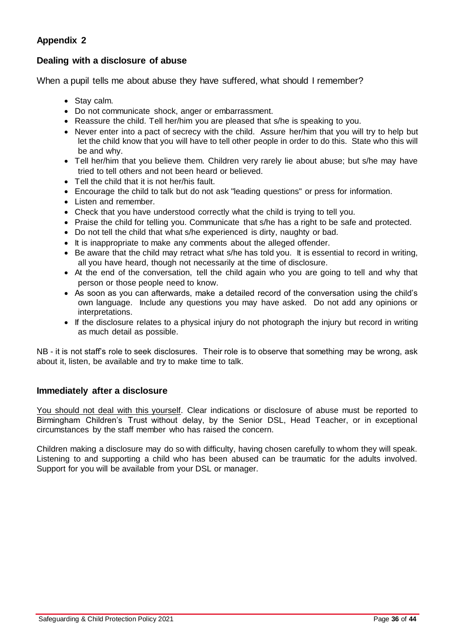# **Appendix 2**

# **Dealing with a disclosure of abuse**

When a pupil tells me about abuse they have suffered, what should I remember?

- Stay calm.
- Do not communicate shock, anger or embarrassment.
- Reassure the child. Tell her/him you are pleased that s/he is speaking to you.
- Never enter into a pact of secrecy with the child. Assure her/him that you will try to help but let the child know that you will have to tell other people in order to do this. State who this will be and why.
- Tell her/him that you believe them. Children very rarely lie about abuse; but s/he may have tried to tell others and not been heard or believed.
- Tell the child that it is not her/his fault.
- Encourage the child to talk but do not ask "leading questions" or press for information.
- Listen and remember.
- Check that you have understood correctly what the child is trying to tell you.
- Praise the child for telling you. Communicate that s/he has a right to be safe and protected.
- Do not tell the child that what s/he experienced is dirty, naughty or bad.
- It is inappropriate to make any comments about the alleged offender.
- Be aware that the child may retract what s/he has told you. It is essential to record in writing, all you have heard, though not necessarily at the time of disclosure.
- At the end of the conversation, tell the child again who you are going to tell and why that person or those people need to know.
- As soon as you can afterwards, make a detailed record of the conversation using the child's own language. Include any questions you may have asked. Do not add any opinions or interpretations.
- If the disclosure relates to a physical injury do not photograph the injury but record in writing as much detail as possible.

NB - it is not staff's role to seek disclosures. Their role is to observe that something may be wrong, ask about it, listen, be available and try to make time to talk.

#### **Immediately after a disclosure**

You should not deal with this yourself. Clear indications or disclosure of abuse must be reported to Birmingham Children's Trust without delay, by the Senior DSL, Head Teacher, or in exceptional circumstances by the staff member who has raised the concern.

Children making a disclosure may do so with difficulty, having chosen carefully to whom they will speak. Listening to and supporting a child who has been abused can be traumatic for the adults involved. Support for you will be available from your DSL or manager.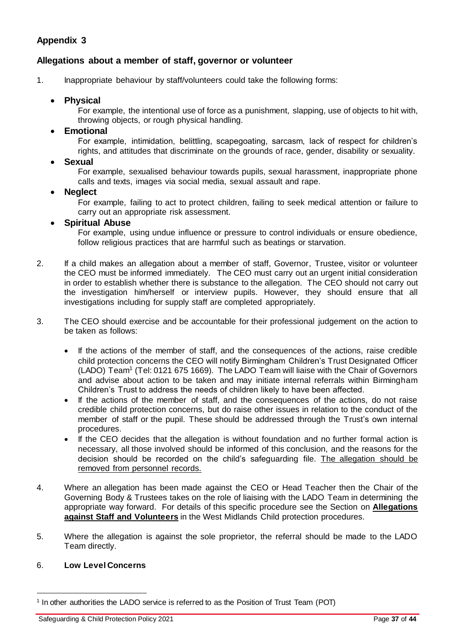# **Appendix 3**

#### **Allegations about a member of staff, governor or volunteer**

- 1. Inappropriate behaviour by staff/volunteers could take the following forms:
	- **Physical**

For example, the intentional use of force as a punishment, slapping, use of objects to hit with, throwing objects, or rough physical handling.

• **Emotional** 

For example, intimidation, belittling, scapegoating, sarcasm, lack of respect for children's rights, and attitudes that discriminate on the grounds of race, gender, disability or sexuality.

• **Sexual** 

For example, sexualised behaviour towards pupils, sexual harassment, inappropriate phone calls and texts, images via social media, sexual assault and rape.

• **Neglect**

For example, failing to act to protect children, failing to seek medical attention or failure to carry out an appropriate risk assessment.

#### • **Spiritual Abuse**

For example, using undue influence or pressure to control individuals or ensure obedience, follow religious practices that are harmful such as beatings or starvation.

- 2. If a child makes an allegation about a member of staff, Governor, Trustee, visitor or volunteer the CEO must be informed immediately. The CEO must carry out an urgent initial consideration in order to establish whether there is substance to the allegation. The CEO should not carry out the investigation him/herself or interview pupils. However, they should ensure that all investigations including for supply staff are completed appropriately.
- 3. The CEO should exercise and be accountable for their professional judgement on the action to be taken as follows:
	- If the actions of the member of staff, and the consequences of the actions, raise credible child protection concerns the CEO will notify Birmingham Children's Trust Designated Officer (LADO) Team<sup>1</sup> (Tel: 0121 675 1669). The LADO Team will liaise with the Chair of Governors and advise about action to be taken and may initiate internal referrals within Birmingham Children's Trust to address the needs of children likely to have been affected.
	- If the actions of the member of staff, and the consequences of the actions, do not raise credible child protection concerns, but do raise other issues in relation to the conduct of the member of staff or the pupil. These should be addressed through the Trust's own internal procedures.
	- If the CEO decides that the allegation is without foundation and no further formal action is necessary, all those involved should be informed of this conclusion, and the reasons for the decision should be recorded on the child's safeguarding file. The allegation should be removed from personnel records.
- 4. Where an allegation has been made against the CEO or Head Teacher then the Chair of the Governing Body & Trustees takes on the role of liaising with the LADO Team in determining the appropriate way forward. For details of this specific procedure see the Section on **[Allegations](http://westmidlands.procedures.org.uk/ykpzy/statutory-child-protection-procedures/allegations-against-staff-or-volunteers)  [against Staff and Volunteers](http://westmidlands.procedures.org.uk/ykpzy/statutory-child-protection-procedures/allegations-against-staff-or-volunteers)** in the West Midlands Child protection procedures.
- 5. Where the allegation is against the sole proprietor, the referral should be made to the LADO Team directly.

#### 6. **Low Level Concerns**

 $\overline{a}$ 

<sup>1</sup> In other authorities the LADO service is referred to as the Position of Trust Team (POT)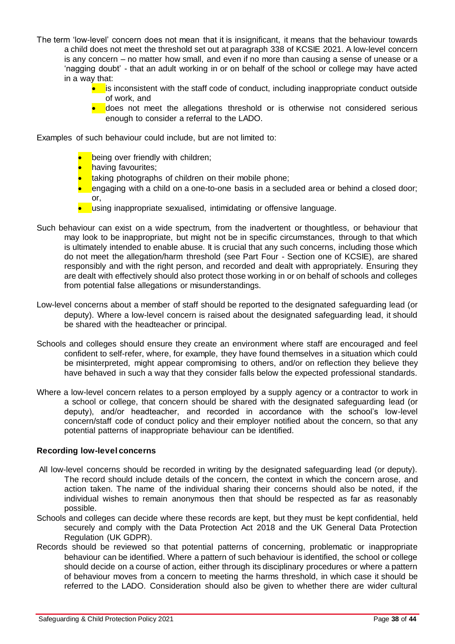- The term 'low-level' concern does not mean that it is insignificant, it means that the behaviour towards a child does not meet the threshold set out at paragraph 338 of KCSIE 2021. A low-level concern is any concern – no matter how small, and even if no more than causing a sense of unease or a 'nagging doubt' - that an adult working in or on behalf of the school or college may have acted in a way that:
	- is inconsistent with the staff code of conduct, including inappropriate conduct outside of work, and
	- does not meet the allegations threshold or is otherwise not considered serious enough to consider a referral to the LADO.

Examples of such behaviour could include, but are not limited to:

- being over friendly with children;
- having favourites;
- **taking photographs of children on their mobile phone;**
- **•** engaging with a child on a one-to-one basis in a secluded area or behind a closed door; or,
- using inappropriate sexualised, intimidating or offensive language.
- Such behaviour can exist on a wide spectrum, from the inadvertent or thoughtless, or behaviour that may look to be inappropriate, but might not be in specific circumstances, through to that which is ultimately intended to enable abuse. It is crucial that any such concerns, including those which do not meet the allegation/harm threshold (see Part Four - Section one of KCSIE), are shared responsibly and with the right person, and recorded and dealt with appropriately. Ensuring they are dealt with effectively should also protect those working in or on behalf of schools and colleges from potential false allegations or misunderstandings.
- Low-level concerns about a member of staff should be reported to the designated safeguarding lead (or deputy). Where a low-level concern is raised about the designated safeguarding lead, it should be shared with the headteacher or principal.
- Schools and colleges should ensure they create an environment where staff are encouraged and feel confident to self-refer, where, for example, they have found themselves in a situation which could be misinterpreted, might appear compromising to others, and/or on reflection they believe they have behaved in such a way that they consider falls below the expected professional standards.
- Where a low-level concern relates to a person employed by a supply agency or a contractor to work in a school or college, that concern should be shared with the designated safeguarding lead (or deputy), and/or headteacher, and recorded in accordance with the school's low-level concern/staff code of conduct policy and their employer notified about the concern, so that any potential patterns of inappropriate behaviour can be identified.

#### **Recording low-level concerns**

- All low-level concerns should be recorded in writing by the designated safeguarding lead (or deputy). The record should include details of the concern, the context in which the concern arose, and action taken. The name of the individual sharing their concerns should also be noted, if the individual wishes to remain anonymous then that should be respected as far as reasonably possible.
- Schools and colleges can decide where these records are kept, but they must be kept confidential, held securely and comply with the Data Protection Act 2018 and the UK General Data Protection Regulation (UK GDPR).
- Records should be reviewed so that potential patterns of concerning, problematic or inappropriate behaviour can be identified. Where a pattern of such behaviour is identified, the school or college should decide on a course of action, either through its disciplinary procedures or where a pattern of behaviour moves from a concern to meeting the harms threshold, in which case it should be referred to the LADO. Consideration should also be given to whether there are wider cultural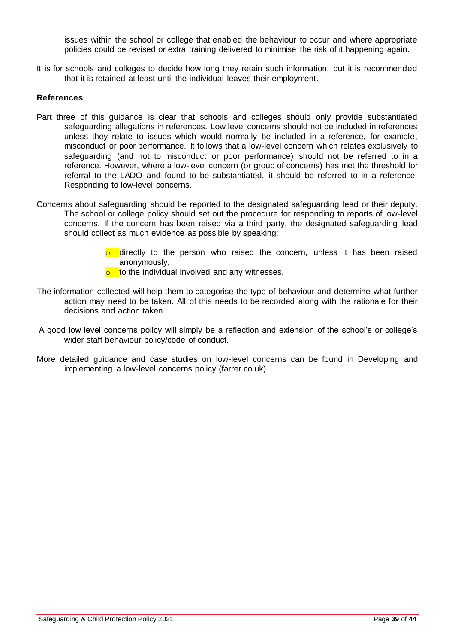issues within the school or college that enabled the behaviour to occur and where appropriate policies could be revised or extra training delivered to minimise the risk of it happening again.

It is for schools and colleges to decide how long they retain such information, but it is recommended that it is retained at least until the individual leaves their employment.

#### **References**

- Part three of this guidance is clear that schools and colleges should only provide substantiated safeguarding allegations in references. Low level concerns should not be included in references unless they relate to issues which would normally be included in a reference, for example, misconduct or poor performance. It follows that a low-level concern which relates exclusively to safeguarding (and not to misconduct or poor performance) should not be referred to in a reference. However, where a low-level concern (or group of concerns) has met the threshold for referral to the LADO and found to be substantiated, it should be referred to in a reference. Responding to low-level concerns.
- Concerns about safeguarding should be reported to the designated safeguarding lead or their deputy. The school or college policy should set out the procedure for responding to reports of low-level concerns. If the concern has been raised via a third party, the designated safeguarding lead should collect as much evidence as possible by speaking:
	- $\circ$  directly to the person who raised the concern, unless it has been raised anonymously;
	- $\circ$  to the individual involved and any witnesses.
- The information collected will help them to categorise the type of behaviour and determine what further action may need to be taken. All of this needs to be recorded along with the rationale for their decisions and action taken.
- A good low level concerns policy will simply be a reflection and extension of the school's or college's wider staff behaviour policy/code of conduct.
- More detailed guidance and case studies on low-level concerns can be found in Developing and implementing a low-level concerns policy (farrer.co.uk)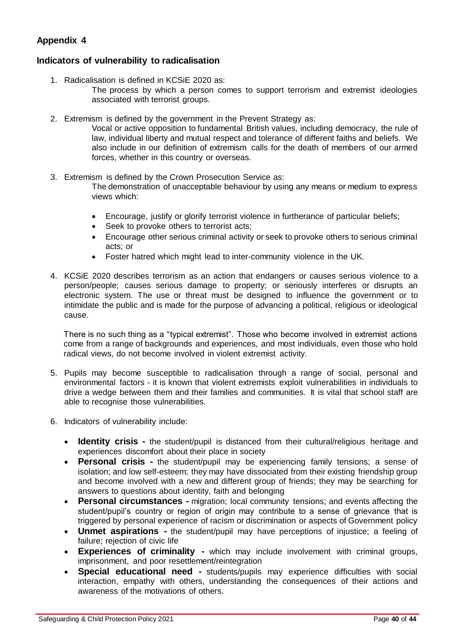# **Appendix 4**

#### **Indicators of vulnerability to radicalisation**

- 1. Radicalisation is defined in KCSiE 2020 as:
	- The process by which a person comes to support terrorism and extremist ideologies associated with terrorist groups.
- 2. Extremism is defined by the government in the Prevent Strategy as:

Vocal or active opposition to fundamental British values, including democracy, the rule of law, individual liberty and mutual respect and tolerance of different faiths and beliefs. We also include in our definition of extremism calls for the death of members of our armed forces, whether in this country or overseas.

- 3. Extremism is defined by the Crown Prosecution Service as: The demonstration of unacceptable behaviour by using any means or medium to express views which:
	- Encourage, justify or glorify terrorist violence in furtherance of particular beliefs;
	- Seek to provoke others to terrorist acts;
	- Encourage other serious criminal activity or seek to provoke others to serious criminal acts; or
	- Foster hatred which might lead to inter-community violence in the UK.
- 4. KCSiE 2020 describes terrorism as an action that endangers or causes serious violence to a person/people; causes serious damage to property; or seriously interferes or disrupts an electronic system. The use or threat must be designed to influence the government or to intimidate the public and is made for the purpose of advancing a political, religious or ideological cause.

There is no such thing as a "typical extremist". Those who become involved in extremist actions come from a range of backgrounds and experiences, and most individuals, even those who hold radical views, do not become involved in violent extremist activity.

- 5. Pupils may become susceptible to radicalisation through a range of social, personal and environmental factors - it is known that violent extremists exploit vulnerabilities in individuals to drive a wedge between them and their families and communities. It is vital that school staff are able to recognise those vulnerabilities.
- 6. Indicators of vulnerability include:
	- **Identity crisis -** the student/pupil is distanced from their cultural/religious heritage and experiences discomfort about their place in society
	- **Personal crisis -** the student/pupil may be experiencing family tensions; a sense of isolation; and low self-esteem; they may have dissociated from their existing friendship group and become involved with a new and different group of friends; they may be searching for answers to questions about identity, faith and belonging
	- **Personal circumstances -** migration; local community tensions; and events affecting the student/pupil's country or region of origin may contribute to a sense of grievance that is triggered by personal experience of racism or discrimination or aspects of Government policy
	- **Unmet aspirations -** the student/pupil may have perceptions of injustice; a feeling of failure; rejection of civic life
	- **Experiences of criminality -** which may include involvement with criminal groups, imprisonment, and poor resettlement/reintegration
	- **Special educational need -** students/pupils may experience difficulties with social interaction, empathy with others, understanding the consequences of their actions and awareness of the motivations of others.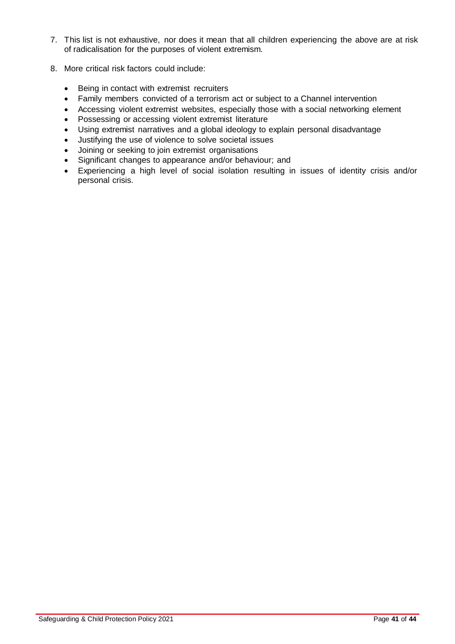- 7. This list is not exhaustive, nor does it mean that all children experiencing the above are at risk of radicalisation for the purposes of violent extremism.
- 8. More critical risk factors could include:
	- Being in contact with extremist recruiters
	- Family members convicted of a terrorism act or subject to a Channel intervention
	- Accessing violent extremist websites, especially those with a social networking element
	- Possessing or accessing violent extremist literature
	- Using extremist narratives and a global ideology to explain personal disadvantage
	- Justifying the use of violence to solve societal issues
	- Joining or seeking to join extremist organisations
	- Significant changes to appearance and/or behaviour; and
	- Experiencing a high level of social isolation resulting in issues of identity crisis and/or personal crisis.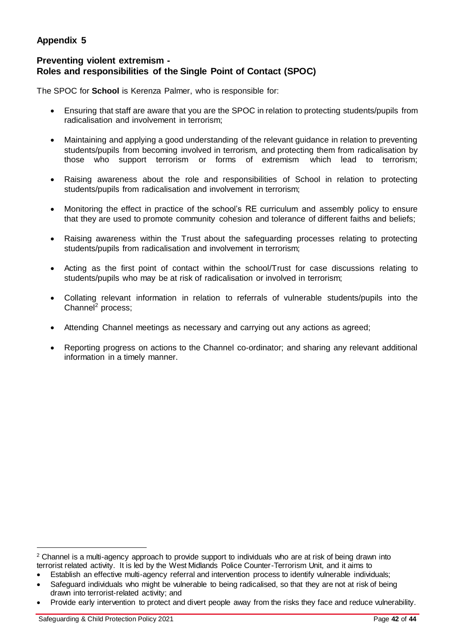# **Appendix 5**

# **Preventing violent extremism - Roles and responsibilities of the Single Point of Contact (SPOC)**

The SPOC for **School** is Kerenza Palmer, who is responsible for:

- Ensuring that staff are aware that you are the SPOC in relation to protecting students/pupils from radicalisation and involvement in terrorism;
- Maintaining and applying a good understanding of the relevant guidance in relation to preventing students/pupils from becoming involved in terrorism, and protecting them from radicalisation by those who support terrorism or forms of extremism which lead to terrorism;
- Raising awareness about the role and responsibilities of School in relation to protecting students/pupils from radicalisation and involvement in terrorism;
- Monitoring the effect in practice of the school's RE curriculum and assembly policy to ensure that they are used to promote community cohesion and tolerance of different faiths and beliefs;
- Raising awareness within the Trust about the safeguarding processes relating to protecting students/pupils from radicalisation and involvement in terrorism;
- Acting as the first point of contact within the school/Trust for case discussions relating to students/pupils who may be at risk of radicalisation or involved in terrorism;
- Collating relevant information in relation to referrals of vulnerable students/pupils into the Channel<sup>2</sup> process;
- Attending Channel meetings as necessary and carrying out any actions as agreed;
- Reporting progress on actions to the Channel co-ordinator; and sharing any relevant additional information in a timely manner.

 $\overline{a}$ 

<sup>&</sup>lt;sup>2</sup> Channel is a multi-agency approach to provide support to individuals who are at risk of being drawn into terrorist related activity. It is led by the West Midlands Police Counter-Terrorism Unit, and it aims to

<sup>•</sup> Establish an effective multi-agency referral and intervention process to identify vulnerable individuals;

<sup>•</sup> Safeguard individuals who might be vulnerable to being radicalised, so that they are not at risk of being drawn into terrorist-related activity; and

<sup>•</sup> Provide early intervention to protect and divert people away from the risks they face and reduce vulnerability.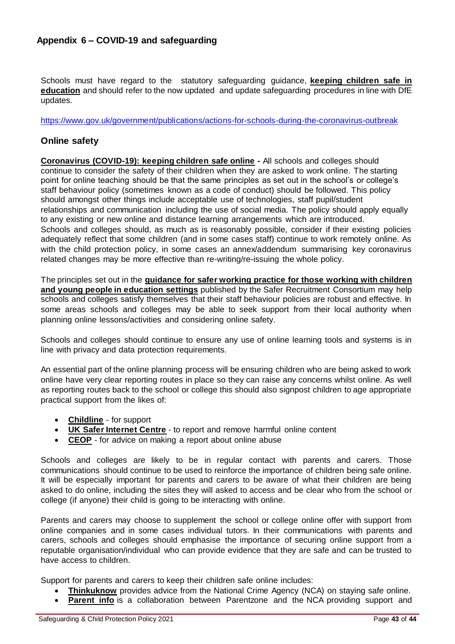# **Appendix 6 – COVID-19 and safeguarding**

Schools must have regard to the statutory safeguarding guidance, **[keeping children safe in](https://www.gov.uk/government/publications/keeping-children-safe-in-education--2)  [education](https://www.gov.uk/government/publications/keeping-children-safe-in-education--2)** and should refer to the now updated and update safeguarding procedures in line with DfE updates.

<https://www.gov.uk/government/publications/actions-for-schools-during-the-coronavirus-outbreak>

#### **Online safety**

**[Coronavirus \(COVID-19\): keeping children safe online](https://www.gov.uk/government/publications/coronavirus-covid-19-keeping-children-safe-online) -** All schools and colleges should continue to consider the safety of their children when they are asked to work online. The starting point for online teaching should be that the same principles as set out in the school's or college's staff behaviour policy (sometimes known as a code of conduct) should be followed. This policy should amongst other things include acceptable use of technologies, staff pupil/student relationships and communication including the use of social media. The policy should apply equally to any existing or new online and distance learning arrangements which are introduced. Schools and colleges should, as much as is reasonably possible, consider if their existing policies adequately reflect that some children (and in some cases staff) continue to work remotely online. As with the child protection policy, in some cases an annex/addendum summarising key coronavirus related changes may be more effective than re-writing/re-issuing the whole policy.

The principles set out in the **[guidance for safer working practice for those working with children](https://www.saferrecruitmentconsortium.org/)  [and young people in education settings](https://www.saferrecruitmentconsortium.org/)** published by the Safer Recruitment Consortium may help schools and colleges satisfy themselves that their staff behaviour policies are robust and effective. In some areas schools and colleges may be able to seek support from their local authority when planning online lessons/activities and considering online safety.

Schools and colleges should continue to ensure any use of online learning tools and systems is in line with privacy and data protection requirements.

An essential part of the online planning process will be ensuring children who are being asked to work online have very clear reporting routes in place so they can raise any concerns whilst online. As well as reporting routes back to the school or college this should also signpost children to age appropriate practical support from the likes of:

- **[Childline](https://www.childline.org.uk/?utm_source=google&utm_medium=cpc&utm_campaign=UK_GO_S_B_BND_Grant_Childline_Information&utm_term=role_of_childline&gclsrc=aw.ds&&gclid=EAIaIQobChMIlfLRh-ez6AIVRrDtCh1N9QR2EAAYASAAEgLc-vD_BwE&gclsrc=aw.ds)** for support
- **[UK Safer Internet Centre](https://reportharmfulcontent.com/)** to report and remove harmful online content
- **[CEOP](https://www.ceop.police.uk/safety-centre/)** for advice on making a report about online abuse

Schools and colleges are likely to be in regular contact with parents and carers. Those communications should continue to be used to reinforce the importance of children being safe online. It will be especially important for parents and carers to be aware of what their children are being asked to do online, including the sites they will asked to access and be clear who from the school or college (if anyone) their child is going to be interacting with online.

Parents and carers may choose to supplement the school or college online offer with support from online companies and in some cases individual tutors. In their communications with parents and carers, schools and colleges should emphasise the importance of securing online support from a reputable organisation/individual who can provide evidence that they are safe and can be trusted to have access to children.

Support for parents and carers to keep their children safe online includes:

- **[Thinkuknow](http://www.thinkuknow.co.uk/)** provides advice from the National Crime Agency (NCA) on staying safe online.
- **[Parent info](https://parentinfo.org/)** is a collaboration between Parentzone and the NCA providing support and